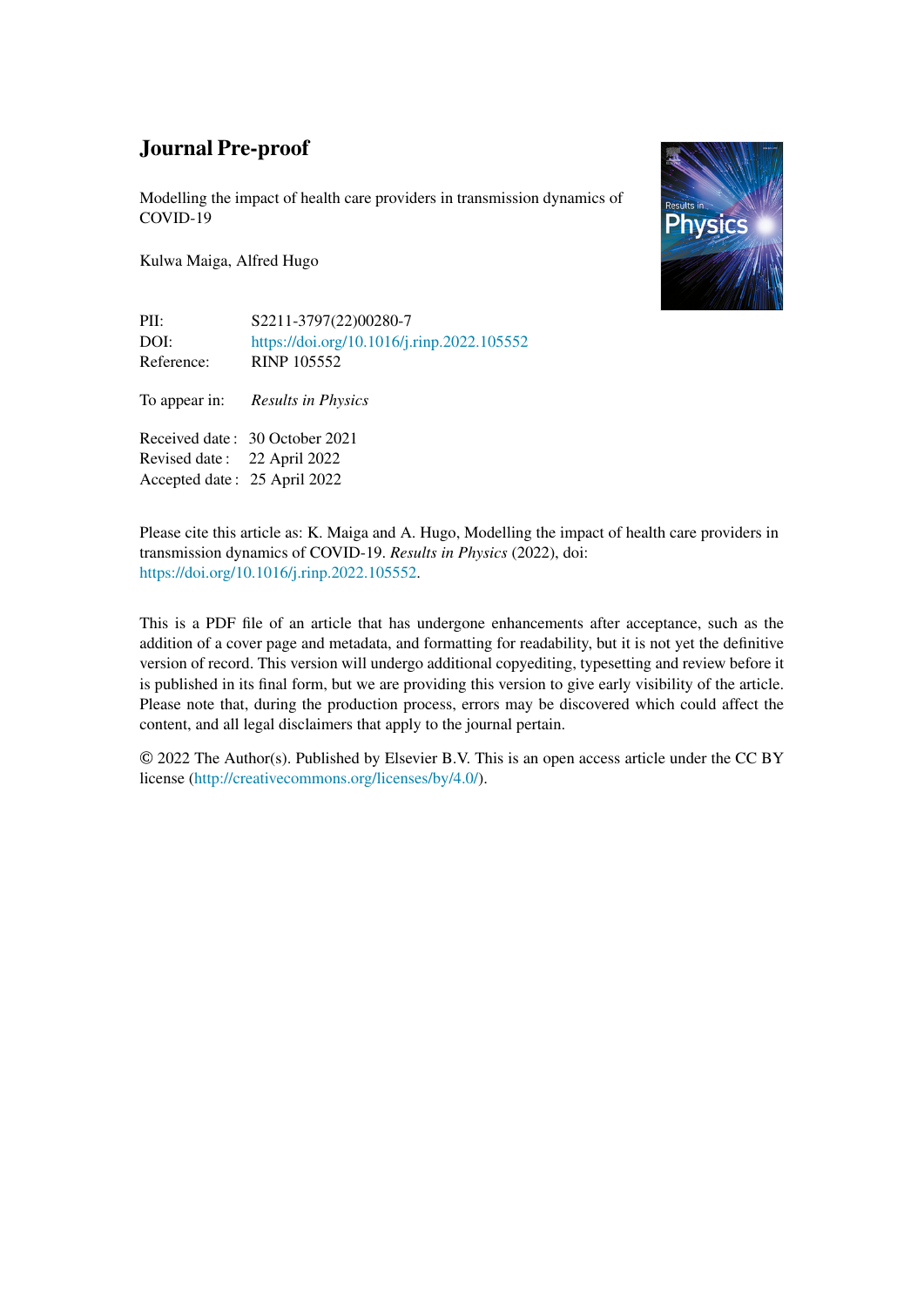Modelling the impact of health care providers in transmission dynamics of COVID-19

Kulwa Maiga, Alfred Hugo

PII: S2211-3797(22)00280-7 DOI: <https://doi.org/10.1016/j.rinp.2022.105552> Reference: RINP 105552

To appear in: *Results in Physics*

Received date : 30 October 2021 Revised date : 22 April 2022 Accepted date : 25 April 2022



Please cite this article as: K. Maiga and A. Hugo, Modelling the impact of health care providers in transmission dynamics of COVID-19. *Results in Physics* (2022), doi: [https://doi.org/10.1016/j.rinp.2022.105552.](https://doi.org/10.1016/j.rinp.2022.105552)

This is a PDF file of an article that has undergone enhancements after acceptance, such as the addition of a cover page and metadata, and formatting for readability, but it is not yet the definitive version of record. This version will undergo additional copyediting, typesetting and review before it is published in its final form, but we are providing this version to give early visibility of the article. Please note that, during the production process, errors may be discovered which could affect the content, and all legal disclaimers that apply to the journal pertain.

© 2022 The Author(s). Published by Elsevier B.V. This is an open access article under the CC BY license [\(http://creativecommons.org/licenses/by/4.0/](http://creativecommons.org/licenses/by/4.0/)).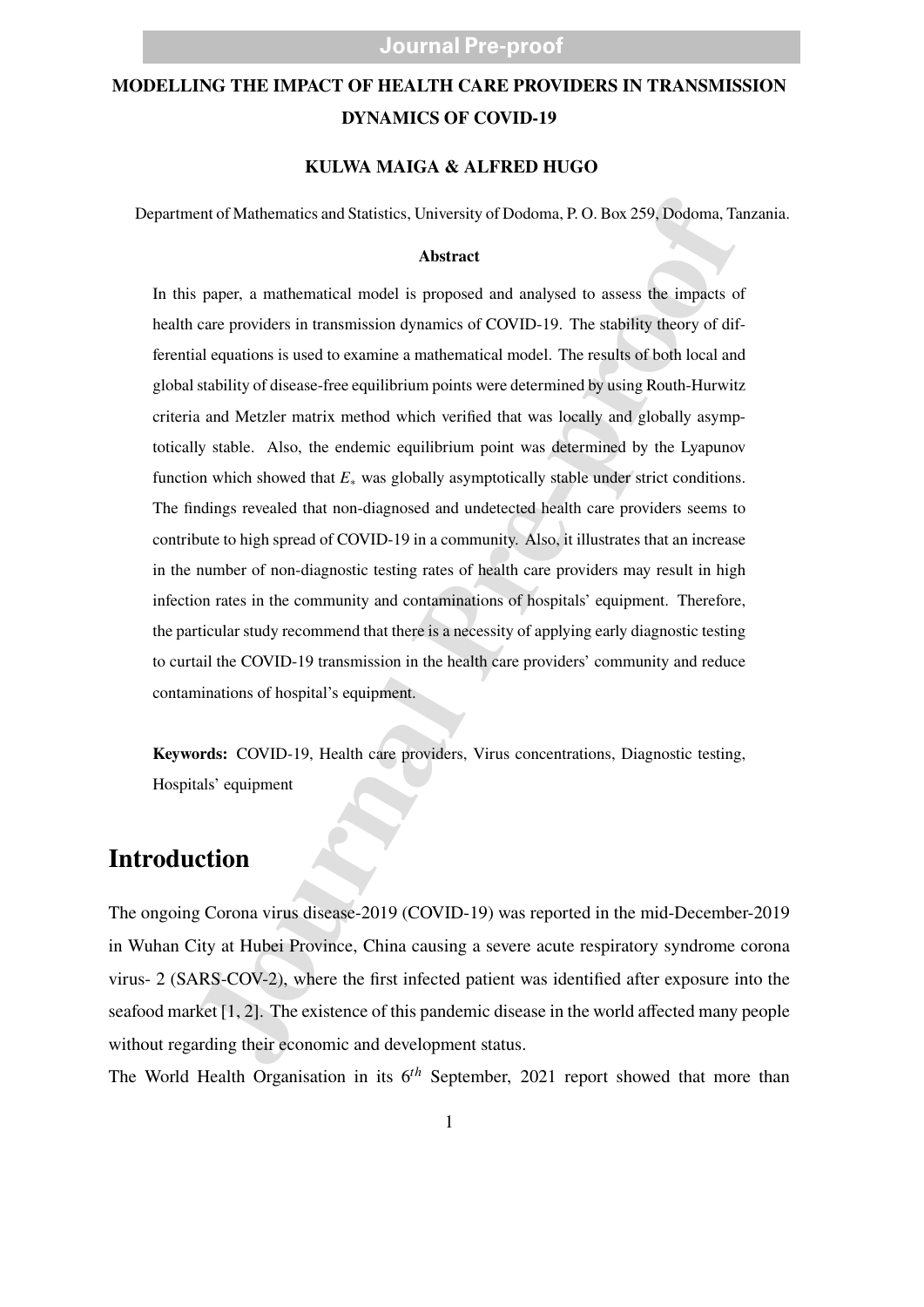### **MODELLING THE IMPACT OF HEALTH CARE PROVIDERS IN TRANSMISSION DYNAMICS OF COVID-19**

#### **KULWA MAIGA & ALFRED HUGO**

Department of Mathematics and Statistics, University of Dodoma, P. O. Box 259, Dodoma, Tanzania.

#### **Abstract**

control Mathematics and Statistics, University of Dodoma, P. O. Box 259, Dodoma, Ta<br> **Abstract**<br>
Supper, a mathematical model is proposed and analysed to assess the impacts of care<br>
provides in transmission dynamics of COV In this paper, a mathematical model is proposed and analysed to assess the impacts of health care providers in transmission dynamics of COVID-19. The stability theory of differential equations is used to examine a mathematical model. The results of both local and global stability of disease-free equilibrium points were determined by using Routh-Hurwitz criteria and Metzler matrix method which verified that was locally and globally asymptotically stable. Also, the endemic equilibrium point was determined by the Lyapunov function which showed that *E*<sup>∗</sup> was globally asymptotically stable under strict conditions. The findings revealed that non-diagnosed and undetected health care providers seems to contribute to high spread of COVID-19 in a community. Also, it illustrates that an increase in the number of non-diagnostic testing rates of health care providers may result in high infection rates in the community and contaminations of hospitals' equipment. Therefore, the particular study recommend that there is a necessity of applying early diagnostic testing to curtail the COVID-19 transmission in the health care providers' community and reduce contaminations of hospital's equipment.

**Keywords:** COVID-19, Health care providers, Virus concentrations, Diagnostic testing, Hospitals' equipment

### **Introduction**

The ongoing Corona virus disease-2019 (COVID-19) was reported in the mid-December-2019 in Wuhan City at Hubei Province, China causing a severe acute respiratory syndrome corona virus- 2 (SARS-COV-2), where the first infected patient was identified after exposure into the seafood market [1, 2]. The existence of this pandemic disease in the world affected many people without regarding their economic and development status.

The World Health Organisation in its 6 *th* September, 2021 report showed that more than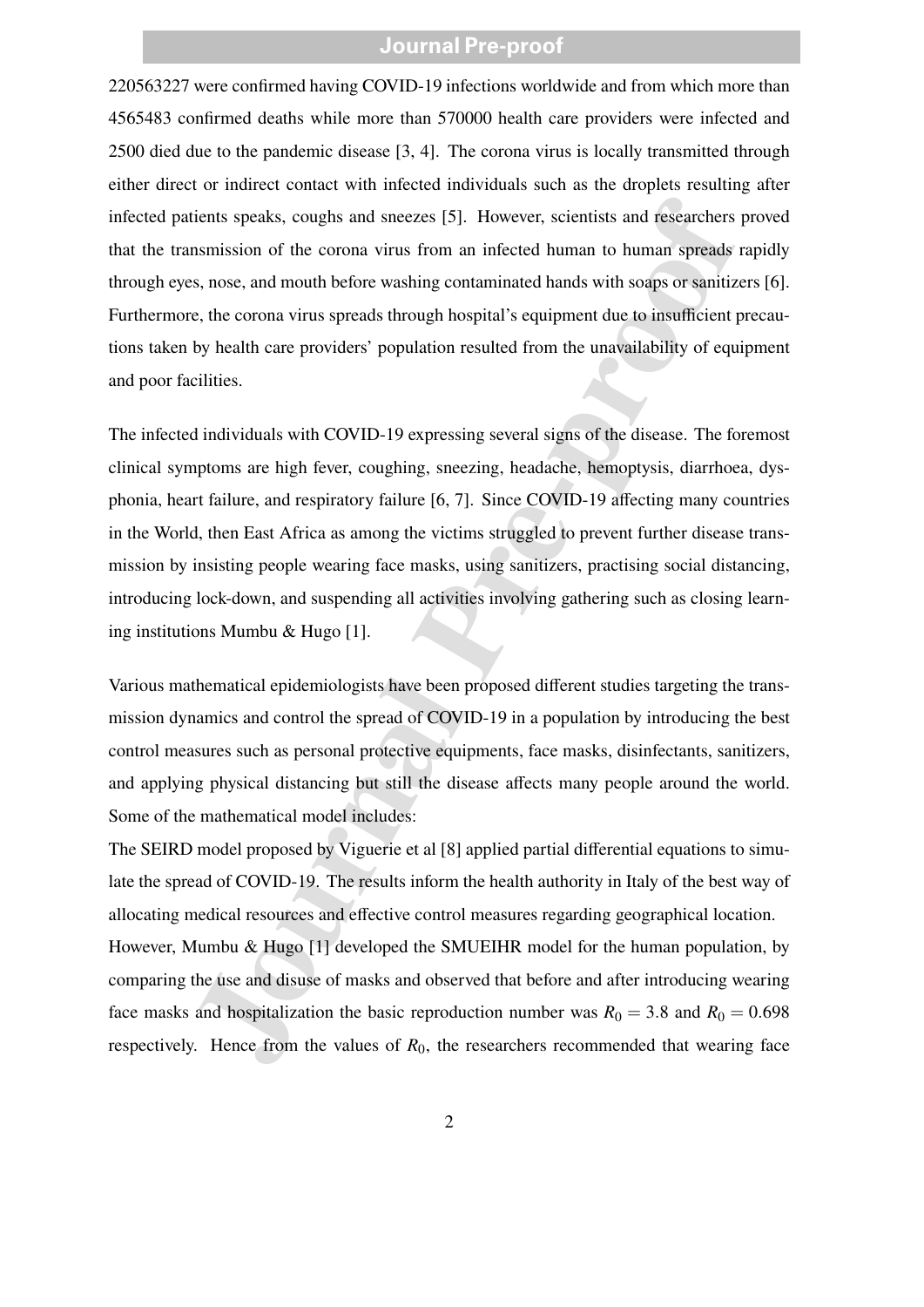220563227 were confirmed having COVID-19 infections worldwide and from which more than 4565483 confirmed deaths while more than 570000 health care providers were infected and 2500 died due to the pandemic disease [3, 4]. The corona virus is locally transmitted through either direct or indirect contact with infected individuals such as the droplets resulting after infected patients speaks, coughs and sneezes [5]. However, scientists and researchers proved that the transmission of the corona virus from an infected human to human spreads rapidly through eyes, nose, and mouth before washing contaminated hands with soaps or sanitizers [6]. Furthermore, the corona virus spreads through hospital's equipment due to insufficient precautions taken by health care providers' population resulted from the unavailability of equipment and poor facilities.

itents speaks, coughs and sneezes [5]. However, scientists and researchers<br>nsmission of the corona virus from an infected human to human speads<br>s, nose, and mouth before washing contaminated hands with soaps or sanitize,<br> The infected individuals with COVID-19 expressing several signs of the disease. The foremost clinical symptoms are high fever, coughing, sneezing, headache, hemoptysis, diarrhoea, dysphonia, heart failure, and respiratory failure [6, 7]. Since COVID-19 affecting many countries in the World, then East Africa as among the victims struggled to prevent further disease transmission by insisting people wearing face masks, using sanitizers, practising social distancing, introducing lock-down, and suspending all activities involving gathering such as closing learning institutions Mumbu & Hugo [1].

Various mathematical epidemiologists have been proposed different studies targeting the transmission dynamics and control the spread of COVID-19 in a population by introducing the best control measures such as personal protective equipments, face masks, disinfectants, sanitizers, and applying physical distancing but still the disease affects many people around the world. Some of the mathematical model includes:

The SEIRD model proposed by Viguerie et al [8] applied partial differential equations to simulate the spread of COVID-19. The results inform the health authority in Italy of the best way of allocating medical resources and effective control measures regarding geographical location. However, Mumbu & Hugo [1] developed the SMUEIHR model for the human population, by comparing the use and disuse of masks and observed that before and after introducing wearing face masks and hospitalization the basic reproduction number was  $R_0 = 3.8$  and  $R_0 = 0.698$ respectively. Hence from the values of  $R_0$ , the researchers recommended that wearing face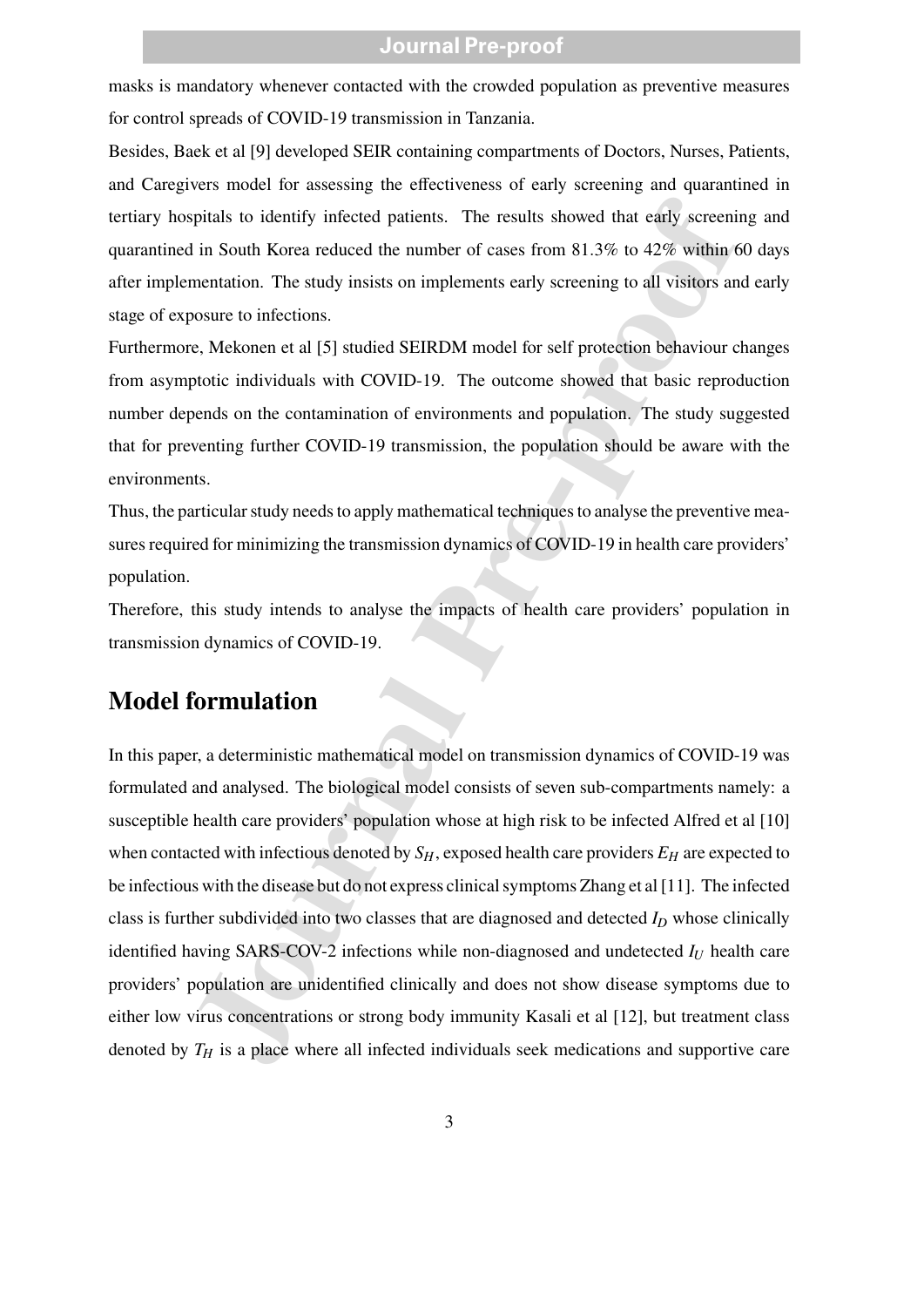masks is mandatory whenever contacted with the crowded population as preventive measures for control spreads of COVID-19 transmission in Tanzania.

Besides, Baek et al [9] developed SEIR containing compartments of Doctors, Nurses, Patients, and Caregivers model for assessing the effectiveness of early screening and quarantined in tertiary hospitals to identify infected patients. The results showed that early screening and quarantined in South Korea reduced the number of cases from 81.3% to 42% within 60 days after implementation. The study insists on implements early screening to all visitors and early stage of exposure to infections.

Furthermore, Mekonen et al [5] studied SEIRDM model for self protection behaviour changes from asymptotic individuals with COVID-19. The outcome showed that basic reproduction number depends on the contamination of environments and population. The study suggested that for preventing further COVID-19 transmission, the population should be aware with the environments.

Thus, the particular study needs to apply mathematical techniques to analyse the preventive measures required for minimizing the transmission dynamics of COVID-19 in health care providers' population.

Therefore, this study intends to analyse the impacts of health care providers' population in transmission dynamics of COVID-19.

### **Model formulation**

ipitals to identify infected patients. The results showed that early screen<br>in South Korea reduced the number of cases from 81.3% to 42% within chentation. The study insists on implements early screening to all visitors a In this paper, a deterministic mathematical model on transmission dynamics of COVID-19 was formulated and analysed. The biological model consists of seven sub-compartments namely: a susceptible health care providers' population whose at high risk to be infected Alfred et al [10] when contacted with infectious denoted by  $S_H$ , exposed health care providers  $E_H$  are expected to be infectious with the disease but do not express clinical symptoms Zhang et al [11]. The infected class is further subdivided into two classes that are diagnosed and detected *I<sup>D</sup>* whose clinically identified having SARS-COV-2 infections while non-diagnosed and undetected *I<sup>U</sup>* health care providers' population are unidentified clinically and does not show disease symptoms due to either low virus concentrations or strong body immunity Kasali et al [12], but treatment class denoted by *T<sup>H</sup>* is a place where all infected individuals seek medications and supportive care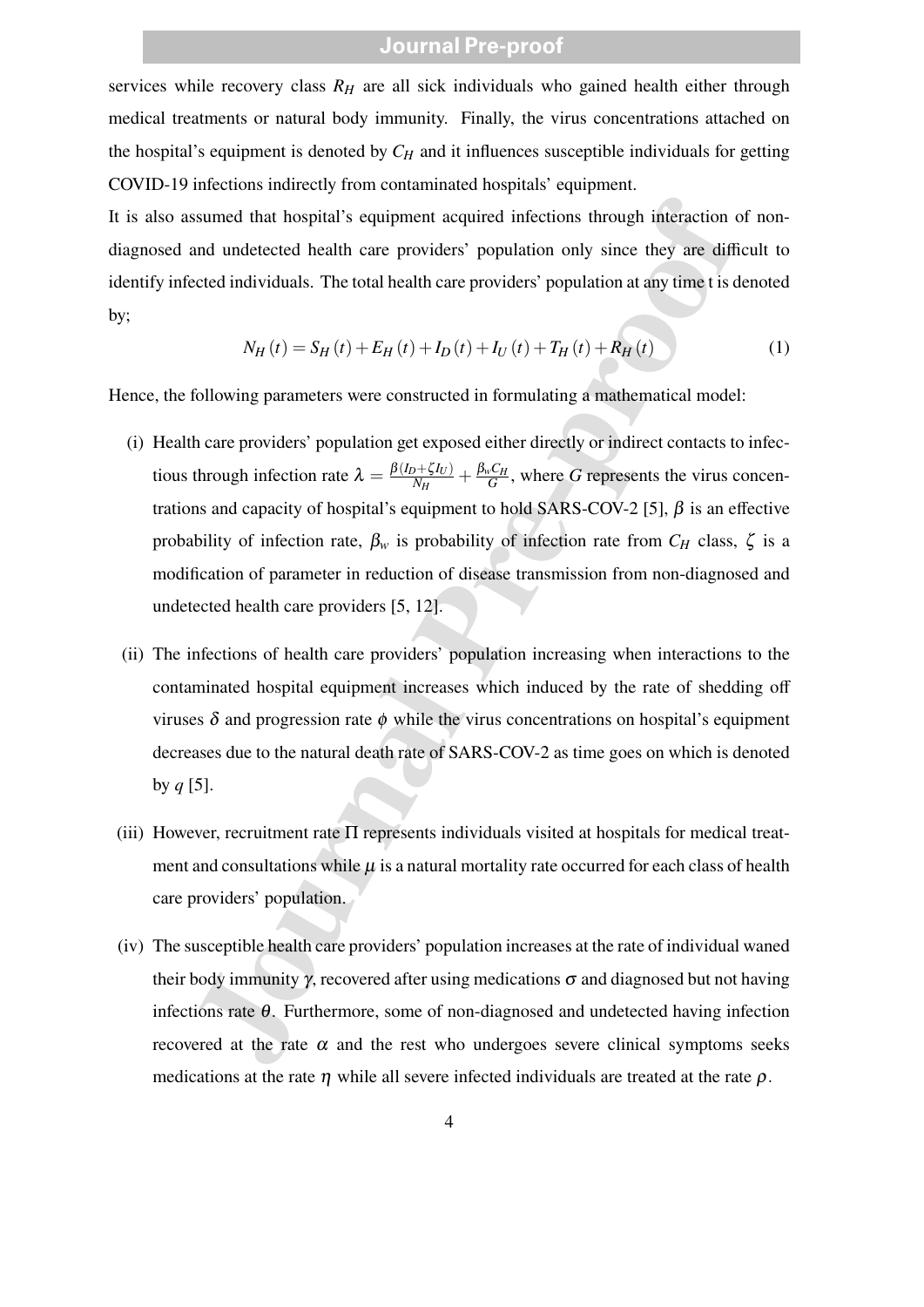services while recovery class  $R_H$  are all sick individuals who gained health either through medical treatments or natural body immunity. Finally, the virus concentrations attached on the hospital's equipment is denoted by  $C_H$  and it influences susceptible individuals for getting COVID-19 infections indirectly from contaminated hospitals' equipment.

It is also assumed that hospital's equipment acquired infections through interaction of nondiagnosed and undetected health care providers' population only since they are difficult to identify infected individuals. The total health care providers' population at any time t is denoted by;

$$
N_{H}(t) = S_{H}(t) + E_{H}(t) + I_{D}(t) + I_{U}(t) + T_{H}(t) + R_{H}(t)
$$
\n(1)

Hence, the following parameters were constructed in formulating a mathematical model:

- assumed that hospital's equipment acquired infections through interaction<br>and undetected health care providers' population only since they are difficed<br>eteed individuals. The total health care providers' population at any (i) Health care providers' population get exposed either directly or indirect contacts to infectious through infection rate  $\lambda = \frac{\beta(I_D + \zeta I_U)}{N_U}$  $\frac{\partial f_{W} + \zeta I_{U}}{\partial H} + \frac{\beta_{w} C_{H}}{G}$  $\frac{\partial^{\nu} H}{\partial G}$ , where *G* represents the virus concentrations and capacity of hospital's equipment to hold SARS-COV-2 [5],  $\beta$  is an effective probability of infection rate,  $\beta_w$  is probability of infection rate from  $C_H$  class,  $\zeta$  is a modification of parameter in reduction of disease transmission from non-diagnosed and undetected health care providers [5, 12].
- (ii) The infections of health care providers' population increasing when interactions to the contaminated hospital equipment increases which induced by the rate of shedding off viruses δ and progression rate φ while the virus concentrations on hospital's equipment decreases due to the natural death rate of SARS-COV-2 as time goes on which is denoted by  $q$  [5].
- (iii) However, recruitment rate  $\Pi$  represents individuals visited at hospitals for medical treatment and consultations while  $\mu$  is a natural mortality rate occurred for each class of health care providers' population.
- (iv) The susceptible health care providers' population increases at the rate of individual waned their body immunity  $\gamma$ , recovered after using medications  $\sigma$  and diagnosed but not having infections rate  $\theta$ . Furthermore, some of non-diagnosed and undetected having infection recovered at the rate  $\alpha$  and the rest who undergoes severe clinical symptoms seeks medications at the rate  $\eta$  while all severe infected individuals are treated at the rate  $\rho$ .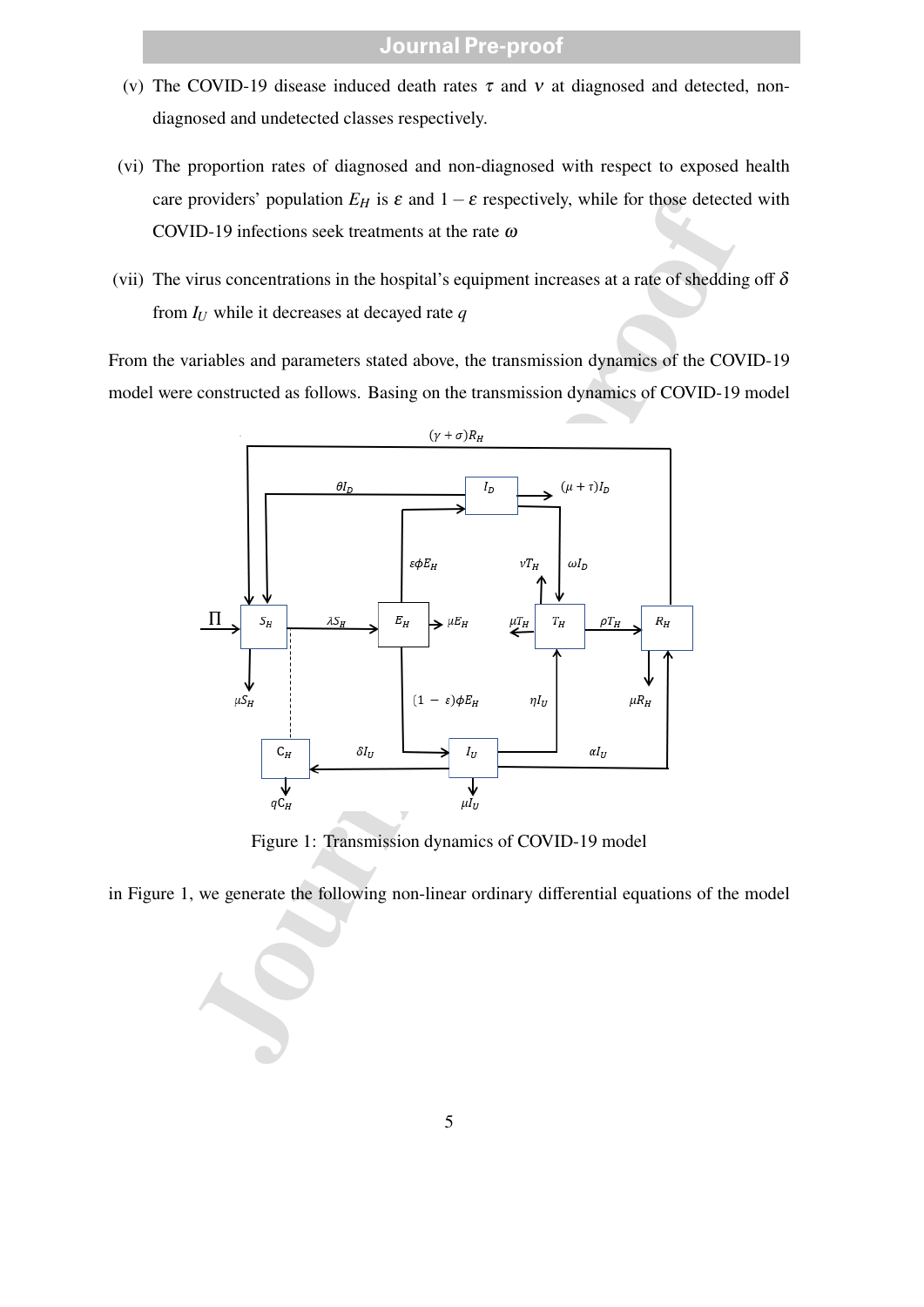- (v) The COVID-19 disease induced death rates  $\tau$  and  $v$  at diagnosed and detected, nondiagnosed and undetected classes respectively.
- (vi) The proportion rates of diagnosed and non-diagnosed with respect to exposed health care providers' population  $E_H$  is  $\varepsilon$  and  $1-\varepsilon$  respectively, while for those detected with COVID-19 infections seek treatments at the rate ω
- (vii) The virus concentrations in the hospital's equipment increases at a rate of shedding off  $\delta$ from *I<sup>U</sup>* while it decreases at decayed rate *q*

From the variables and parameters stated above, the transmission dynamics of the COVID-19 model were constructed as follows. Basing on the transmission dynamics of COVID-19 model



Figure 1: Transmission dynamics of COVID-19 model

in Figure 1, we generate the following non-linear ordinary differential equations of the model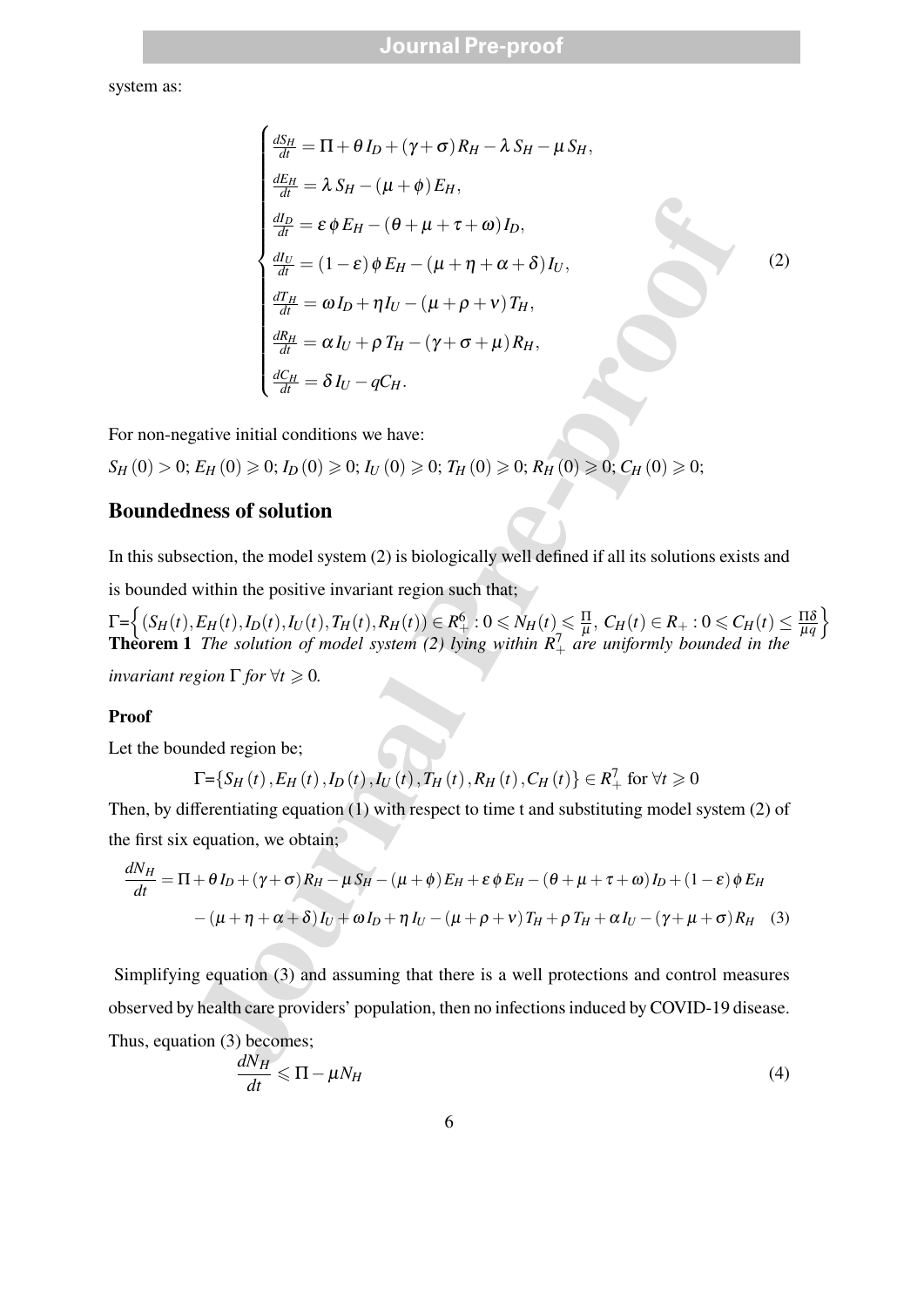system as:

$$
\begin{cases}\n\frac{dS_H}{dt} = \Pi + \theta I_D + (\gamma + \sigma) R_H - \lambda S_H - \mu S_H, \\
\frac{dE_H}{dt} = \lambda S_H - (\mu + \phi) E_H, \\
\frac{dI_D}{dt} = \varepsilon \phi E_H - (\theta + \mu + \tau + \omega) I_D, \\
\frac{dI_U}{dt} = (1 - \varepsilon) \phi E_H - (\mu + \eta + \alpha + \delta) I_U, \\
\frac{dE_H}{dt} = \omega I_D + \eta I_U - (\mu + \rho + \nu) T_H, \\
\frac{dR_H}{dt} = \alpha I_U + \rho T_H - (\gamma + \sigma + \mu) R_H,\n\end{cases}
$$
\ngative initial conditions we have:  
\n $E_H (0) \ge 0; I_D (0) \ge 0; I_U (0) \ge 0; T_H (0) \ge 0; R_H (0) \ge 0; C_H (0) \ge 0;$   
\n**ness of solution**  
\naction, the model system (2) is biologically well defined if all its solutions exist  
\nwithin the positive invariant region such that;  
\n $E_H(t), I_D(t), I_U(t), T_H(t), R_H(t)) \in R_+^6 : 0 \le N_H(t) \le \frac{\Pi}{\mu}, C_H(t) \in R_+ : 0 \le C$   
\nThe solution of model system (2) lying within  $R_+^7$  are uniformly bounded  
\ngion  $\Gamma$  for  $\forall t \ge 0$ .  
\n\nIndeed region be;  
\n $\Gamma = \{S_H(t), E_H(t), I_D(t), I_U(t), T_H(t), R_H(t), C_H(t) \} \in R_+^7$  for  $\forall t \ge 0$   
\nffrentiating equation (1) with respect to time t and substituting model system  
\nequation, we obtain;  
\n+  $\theta I_D + (\gamma + \sigma) R_H - \mu S_H - (\mu + \phi) E_H + \varepsilon \phi E_H - (\theta + \mu + \tau + \omega) I_D + (1 - \varepsilon) \phi$   
\n $-(\mu + \eta + \alpha + \delta) I_U + \omega I_D + \eta I_U - (\mu + \rho + \nu) T_H + \rho T_H + \alpha I_U - (\gamma + \mu + \sigma) I_D$   
\ng equation (3) and assuming that there is a well protections and control m  
\nthe alk  
\n $\alpha$ 

(2)

For non-negative initial conditions we have:

$$
S_H(0) > 0; E_H(0) \geq 0; I_D(0) \geq 0; I_U(0) \geq 0; T_H(0) \geq 0; R_H(0) \geq 0; C_H(0) \geq 0;
$$

#### **Boundedness of solution**

In this subsection, the model system (2) is biologically well defined if all its solutions exists and

is bounded within the positive invariant region such that;

 $\Gamma = \left\{ (S_H(t), E_H(t), I_D(t), I_U(t), T_H(t), R_H(t)) \in R_+^6 : 0 \le N_H(t) \le \frac{\Pi}{\mu} \right\}$  $\frac{\Pi}{\mu},\ C_H(t)\in R_+: 0\leqslant C_H(t)\leq \frac{\Pi\delta}{\mu q}$ µ*q*  $\mathcal{L}$ **Theorem 1** *The solution of model system* (2) lying within  $R_+^7$  *are uniformly bounded in the* 

*invariant region*  $\Gamma$  *for*  $\forall t \geq 0$ *.* 

#### **Proof**

Let the bounded region be;

$$
\Gamma = \{ S_H(t), E_H(t), I_D(t), I_U(t), T_H(t), R_H(t), C_H(t) \} \in R^7_+
$$
 for  $\forall t \ge 0$ 

Then, by differentiating equation (1) with respect to time t and substituting model system (2) of the first six equation, we obtain;

$$
\frac{dN_H}{dt} = \Pi + \theta I_D + (\gamma + \sigma) R_H - \mu S_H - (\mu + \phi) E_H + \varepsilon \phi E_H - (\theta + \mu + \tau + \omega) I_D + (1 - \varepsilon) \phi E_H
$$

$$
- (\mu + \eta + \alpha + \delta) I_U + \omega I_D + \eta I_U - (\mu + \rho + \nu) T_H + \rho T_H + \alpha I_U - (\gamma + \mu + \sigma) R_H \quad (3)
$$

Simplifying equation (3) and assuming that there is a well protections and control measures observed by health care providers' population, then no infections induced by COVID-19 disease. Thus, equation (3) becomes;

$$
\frac{dN_H}{dt} \leqslant \Pi - \mu N_H \tag{4}
$$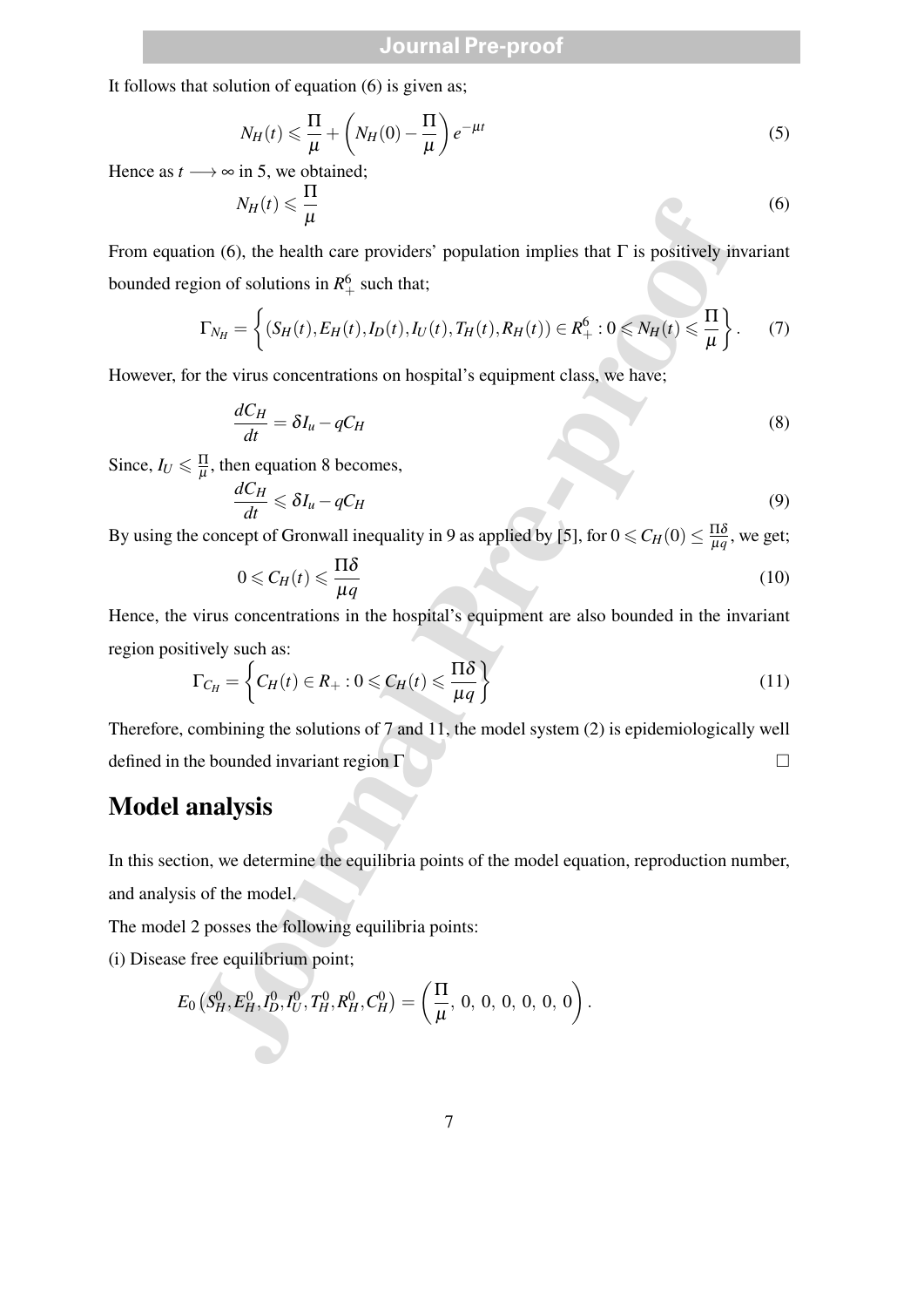It follows that solution of equation (6) is given as;

$$
N_H(t) \leq \frac{\Pi}{\mu} + \left(N_H(0) - \frac{\Pi}{\mu}\right) e^{-\mu t}
$$
\n(5)

Hence as  $t \rightarrow \infty$  in 5, we obtained;

$$
N_H(t) \leqslant \frac{\Pi}{\mu} \tag{6}
$$

From equation (6), the health care providers' population implies that  $\Gamma$  is positively invariant bounded region of solutions in  $R_+^6$  such that;

$$
\Gamma_{N_H} = \left\{ (S_H(t), E_H(t), I_D(t), I_U(t), T_H(t), R_H(t)) \in R_+^6 : 0 \le N_H(t) \le \frac{\Pi}{\mu} \right\}.
$$
 (7)

However, for the virus concentrations on hospital's equipment class, we have;

$$
\frac{dC_H}{dt} = \delta I_u - qC_H \tag{8}
$$

Since,  $I_U \leq \frac{\Pi}{\mu}$  $\frac{11}{\mu}$ , then equation 8 becomes,

$$
\frac{dC_H}{dt} \leqslant \delta I_u - qC_H \tag{9}
$$

By using the concept of Gronwall inequality in 9 as applied by [5], for  $0 \leq C_H(0) \leq \frac{\Pi \delta}{\mu q}$  $\frac{110}{\mu q}$ , we get;

$$
0 \leqslant C_H(t) \leqslant \frac{\Pi \delta}{\mu q} \tag{10}
$$

Hence, the virus concentrations in the hospital's equipment are also bounded in the invariant region positively such as:

$$
\Gamma_{C_H} = \left\{ C_H(t) \in R_+ : 0 \le C_H(t) \le \frac{\Pi \delta}{\mu q} \right\} \tag{11}
$$

Therefore, combining the solutions of 7 and 11, the model system (2) is epidemiologically well defined in the bounded invariant region  $\Gamma$ 

### **Model analysis**

In this section, we determine the equilibria points of the model equation, reproduction number, and analysis of the model.

The model 2 posses the following equilibria points:

(i) Disease free equilibrium point;

$$
N_H(t) \leq \frac{t_1}{\mu}
$$
  
ation (6), the health care providers' population implies that Γ is positively in  
region of solutions in  $R_+^6$  such that;  

$$
\Gamma_{N_H} = \left\{ (S_H(t), E_H(t), I_D(t), I_U(t), T_H(t), R_H(t)) \in R_+^6 : 0 \leq N_H(t) \leq \frac{\Pi}{\mu} \right\}.
$$
for the virus concentrations on hospital's equipment class, we have;  

$$
\frac{dC_H}{dt} = \delta I_u - qC_H
$$

$$
\leq \frac{\Pi}{\mu}
$$
, then equation 8 becomes,  

$$
\frac{dC_H}{dt} \leq \delta I_u - qC_H
$$
  
the concept of Gronwall inequality in 9 as applied by [5], for  $0 \leq C_H(0) \leq \frac{\Pi \delta}{\mu q}$ ,  

$$
0 \leq C_H(t) \leq \frac{\Pi \delta}{\mu q}
$$
  
e virus concentrations in the hospital's equipment are also bounded in the in  
sitively such as:  

$$
\Gamma_{C_H} = \left\{ C_H(t) \in R_+ : 0 \leq C_H(t) \leq \frac{\Pi \delta}{\mu q} \right\}
$$
, combining the solutions of 7 and 11, the model system (2) is epidemiological  
the bounded invariant region Γ  
**analysis**  
ation, we determine the equilibria points of the model equation, reproduction n  
sis of the model.  
21 2 possess the following equilibria points:  
e free equilibrium point;  

$$
E_0 (S_H^0, E_H^0, I_U^0, T_H^0, R_H^0, C_H^0) = (\frac{\Pi}{\mu}, 0, 0, 0, 0, 0, 0).
$$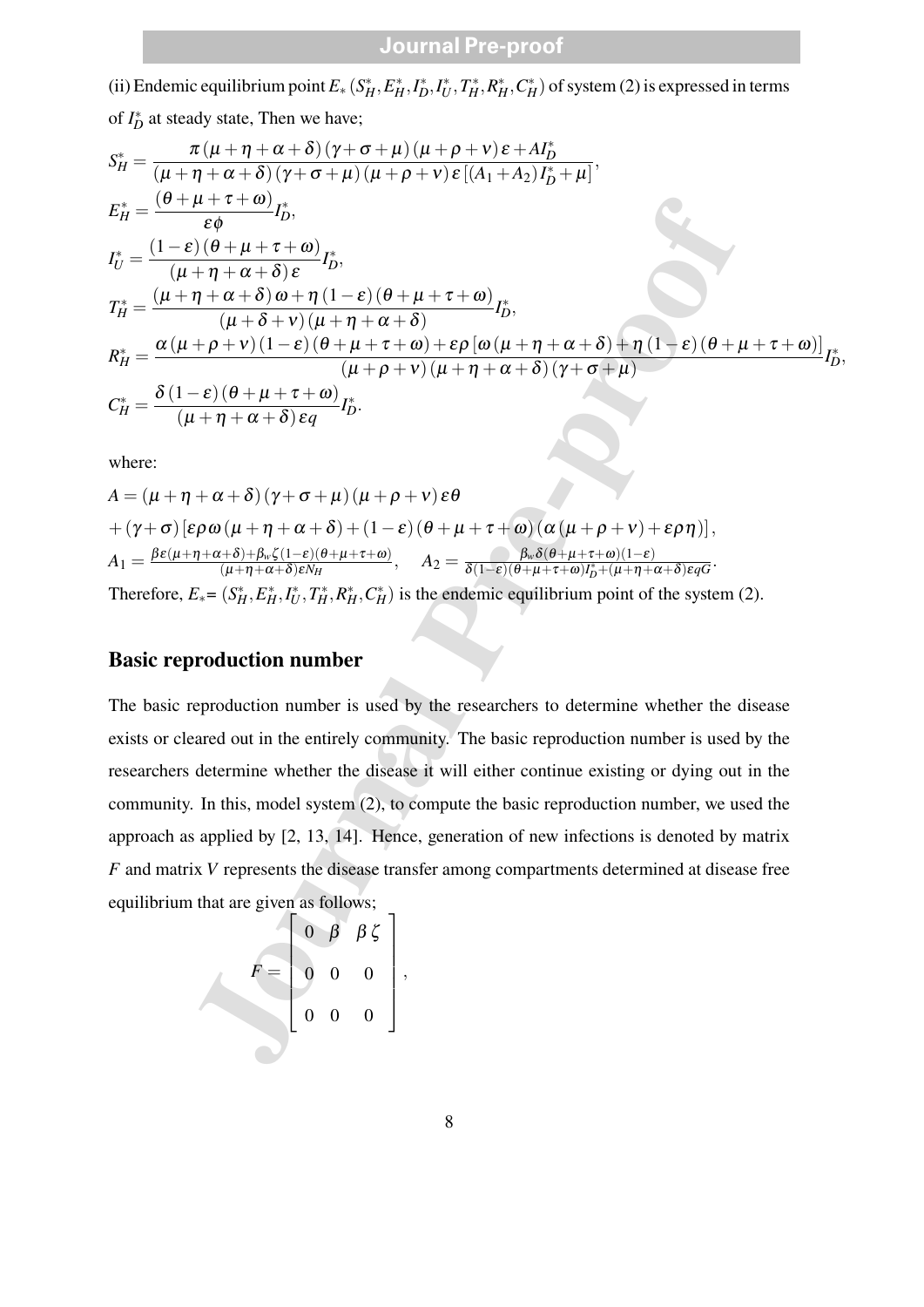(ii) Endemic equilibrium point  $E_*(S_H^*, E_H^*, I_D^*, I_U^*, T_H^*, R_H^*, C_H^*)$  of system (2) is expressed in terms

of *I*<sup>\*</sup><sub>*D*</sub> at steady state, Then we have;

$$
S_H^* = \frac{\pi(\mu + \eta + \alpha + \delta)(\gamma + \sigma + \mu)(\mu + \rho + \nu)\epsilon + Af_D^*}{(\mu + \eta + \alpha + \delta)(\gamma + \sigma + \mu)(\mu + \rho + \nu)\epsilon[(A_1 + A_2)I_D^* + \mu]},
$$
  
\n
$$
E_H^* = \frac{(0 + \mu + \tau + \omega)}{\epsilon \phi} I_D^*,
$$
  
\n
$$
I_U^* = \frac{(1 - \epsilon)(\theta + \mu + \tau + \omega)}{(\mu + \eta + \alpha + \delta)\omega + \eta(1 - \epsilon)(\theta + \mu + \tau + \omega)} I_D^*,
$$
  
\n
$$
T_H^* = \frac{(\mu + \eta + \alpha + \delta)\omega + \eta(1 - \epsilon)(\theta + \mu + \tau + \omega)}{(\mu + \delta + \nu)(\mu + \eta + \alpha + \delta)} I_D^*,
$$
  
\n
$$
R_H^* = \frac{\alpha(\mu + \rho + \nu)(1 - \epsilon)(\theta + \mu + \tau + \omega) + \epsilon \rho [\omega(\mu + \eta + \alpha + \delta) + \eta(1 - \epsilon)(\theta + \mu + \tau + \omega)]}{(\mu + \rho + \nu)(\mu + \eta + \alpha + \delta)(\gamma + \sigma + \mu)}
$$
  
\nwhere:  
\n
$$
A = (\mu + \eta + \alpha + \delta)(\gamma + \sigma + \mu)(\mu + \rho + \nu)\epsilon\theta
$$
  
\n
$$
+ (\gamma + \sigma)[\epsilon \rho \omega(\mu + \eta + \alpha + \delta) + (1 - \epsilon)(\theta + \mu + \tau + \omega)(\alpha(\mu + \rho + \nu) + \epsilon \rho \eta)],
$$
  
\n
$$
A_1 = \frac{\beta \epsilon(\mu + \eta + \alpha + \delta) + \beta_{\kappa} \zeta(1 - \epsilon)(\theta + \mu + \tau + \omega)}{\zeta(\mu + \eta + \alpha + \delta)(\zeta(\mu + \rho + \nu) + \epsilon \rho \eta)},
$$
  
\n
$$
A_1 = \frac{\beta \epsilon(\mu + \eta + \alpha + \delta) + \beta_{\kappa} \zeta(\zeta)}{\zeta(\mu + \eta + \alpha + \delta)\kappa \kappa}
$$
is the endemic equilibrium point of the system (2).  
\n**Basic reproduction number**  
\nThe basic reproduction number  
\nThe basic reproduction number is used by the researchers to determine whether the disease exists of clear  
\neivistic structure

where:

$$
A = (\mu + \eta + \alpha + \delta)(\gamma + \sigma + \mu)(\mu + \rho + \nu)\epsilon\theta
$$
  
+ (\gamma + \sigma) [\epsilon \rho \omega (\mu + \eta + \alpha + \delta) + (1 - \epsilon) (\theta + \mu + \tau + \omega) (\alpha (\mu + \rho + \nu) + \epsilon \rho \eta)],  
A\_1 = \frac{\beta \epsilon (\mu + \eta + \alpha + \delta) + \beta\_w \zeta (1 - \epsilon) (\theta + \mu + \tau + \omega)}{(\mu + \eta + \alpha + \delta)\epsilon N\_H}, \quad A\_2 = \frac{\beta\_w \delta (\theta + \mu + \tau + \omega)(1 - \epsilon)}{\delta (1 - \epsilon) (\theta + \mu + \tau + \omega) I\_D^\* + (\mu + \eta + \alpha + \delta)\epsilon q G}.  
Therefore,  $E_* = (S_H^*, E_H^*, I_U^*, T_H^*, R_H^*, C_H^*)$  is the endemic equilibrium point of the system (2).

#### **Basic reproduction number**

The basic reproduction number is used by the researchers to determine whether the disease exists or cleared out in the entirely community. The basic reproduction number is used by the researchers determine whether the disease it will either continue existing or dying out in the community. In this, model system (2), to compute the basic reproduction number, we used the approach as applied by [2, 13, 14]. Hence, generation of new infections is denoted by matrix *F* and matrix *V* represents the disease transfer among compartments determined at disease free equilibrium that are given as follows;

$$
F = \left[ \begin{array}{ccc} 0 & \beta & \beta \zeta \\ 0 & 0 & 0 \\ 0 & 0 & 0 \end{array} \right],
$$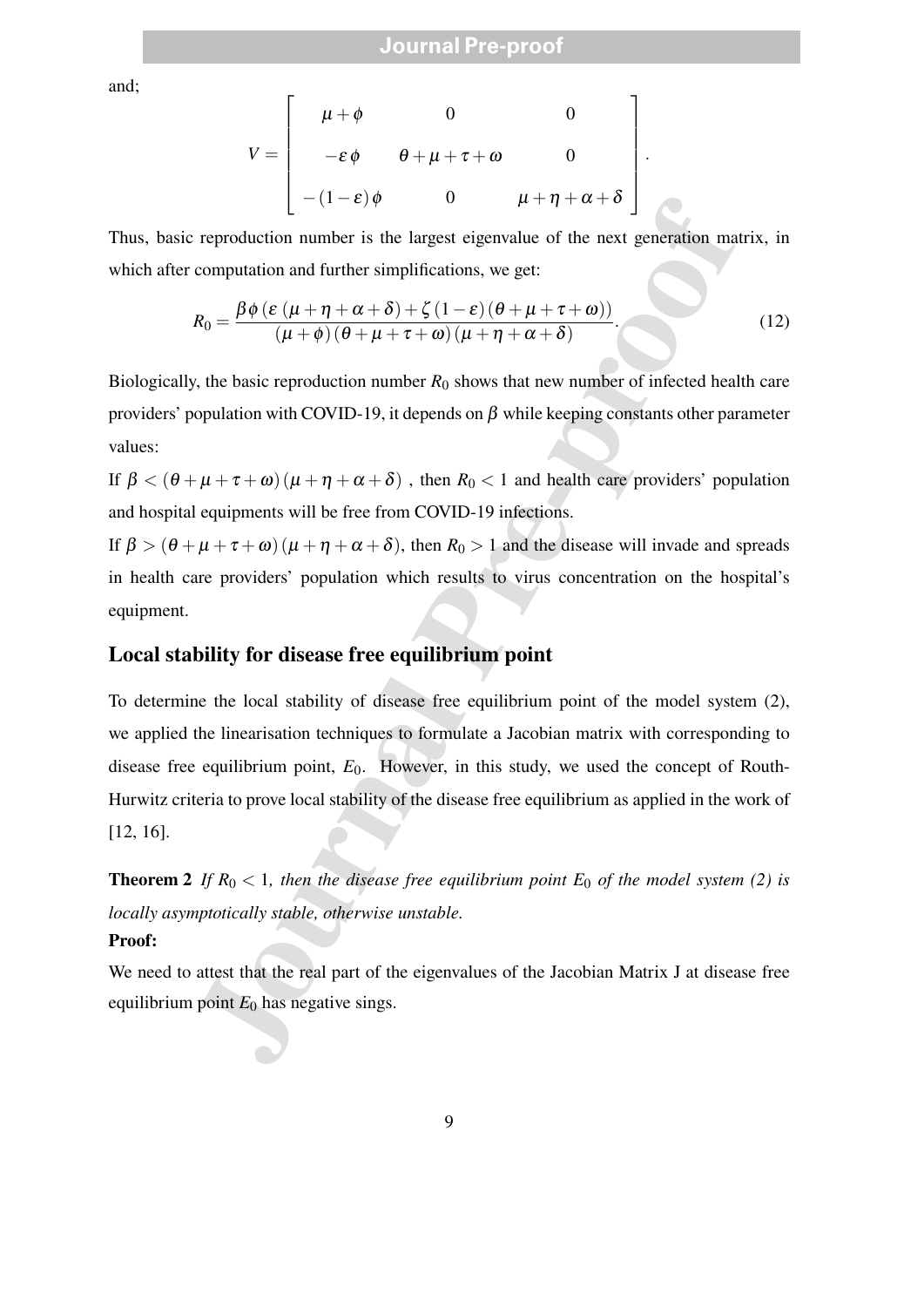and;

$$
V = \begin{bmatrix} \mu + \phi & 0 & 0 \\ -\varepsilon \phi & \theta + \mu + \tau + \omega & 0 \\ -(1 - \varepsilon)\phi & 0 & \mu + \eta + \alpha + \delta \end{bmatrix}
$$

Thus, basic reproduction number is the largest eigenvalue of the next generation matrix, in which after computation and further simplifications, we get:

$$
R_0 = \frac{\beta \phi \left(\varepsilon \left(\mu + \eta + \alpha + \delta\right) + \zeta \left(1 - \varepsilon\right) \left(\theta + \mu + \tau + \omega\right)\right)}{\left(\mu + \phi\right) \left(\theta + \mu + \tau + \omega\right) \left(\mu + \eta + \alpha + \delta\right)}.
$$
\n(12)

.

Biologically, the basic reproduction number  $R_0$  shows that new number of infected health care providers' population with COVID-19, it depends on  $\beta$  while keeping constants other parameter values:

If  $\beta < (\theta + \mu + \tau + \omega) (\mu + \eta + \alpha + \delta)$ , then  $R_0 < 1$  and health care providers' population and hospital equipments will be free from COVID-19 infections.

If  $\beta > (\theta + \mu + \tau + \omega) (\mu + \eta + \alpha + \delta)$ , then  $R_0 > 1$  and the disease will invade and spreads in health care providers' population which results to virus concentration on the hospital's equipment.

#### **Local stability for disease free equilibrium point**

 $\begin{bmatrix} -1-i & 0 & 0 & \mu + \eta + \alpha + \delta \\ 0 & 0 & \mu + \eta + \alpha + \delta \end{bmatrix}$ <br>
reproduction number is the largest eigenvalue of the next generation mat<br>
computation and further simplifications, we get:<br>  $R_0 = \frac{\beta \phi (\varepsilon (\mu + \eta + \alpha + \delta) + \zeta + \zeta) (\mu + \eta +$ To determine the local stability of disease free equilibrium point of the model system (2), we applied the linearisation techniques to formulate a Jacobian matrix with corresponding to disease free equilibrium point,  $E_0$ . However, in this study, we used the concept of Routh-Hurwitz criteria to prove local stability of the disease free equilibrium as applied in the work of [12, 16].

**Theorem 2** If  $R_0 < 1$ , then the disease free equilibrium point  $E_0$  of the model system (2) is *locally asymptotically stable, otherwise unstable.*

#### **Proof:**

We need to attest that the real part of the eigenvalues of the Jacobian Matrix J at disease free equilibrium point  $E_0$  has negative sings.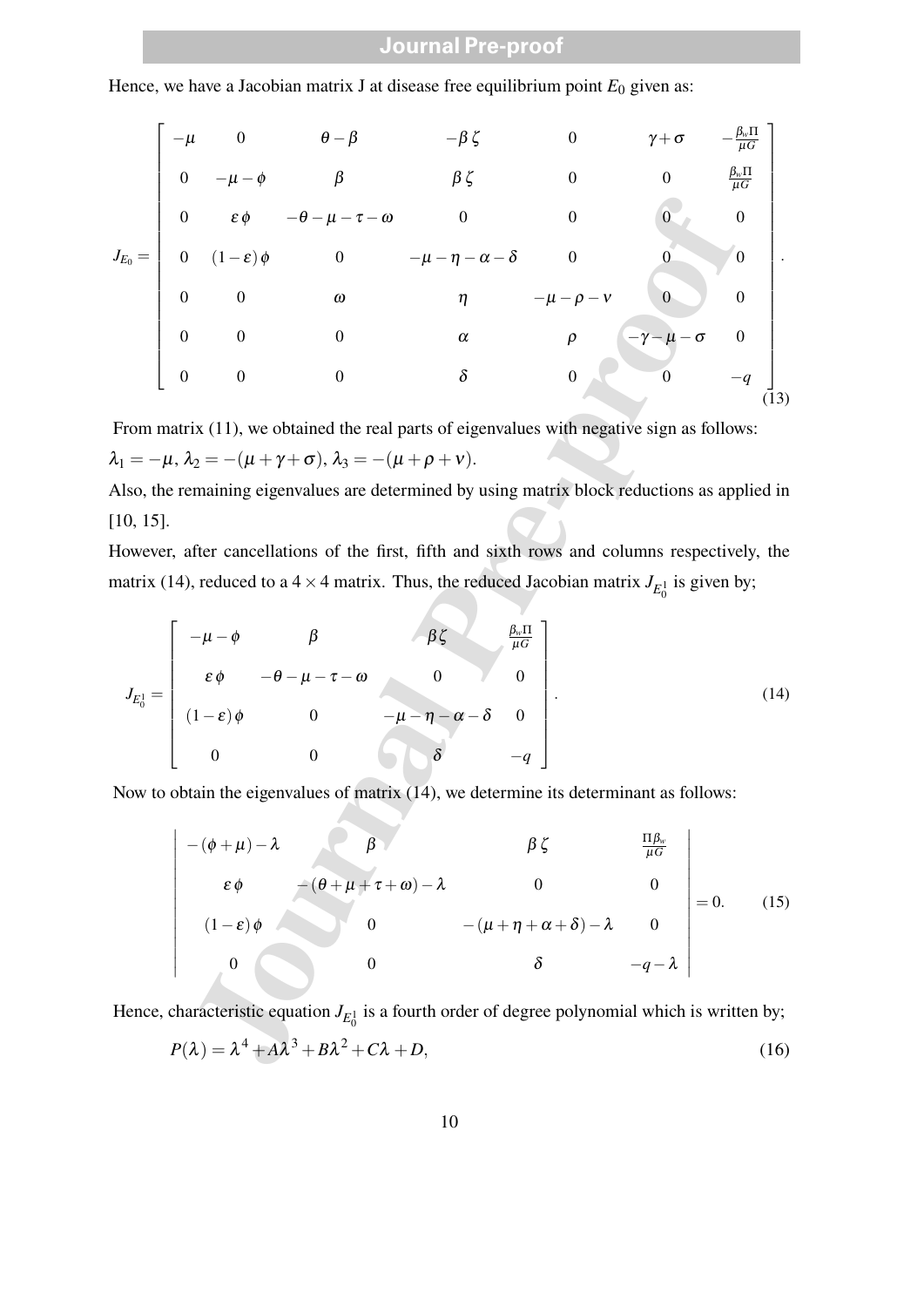Hence, we have a Jacobian matrix J at disease free equilibrium point  $E_0$  given as:

$$
J_{E_0} = \begin{bmatrix}\n-\mu & 0 & \theta - \beta & -\beta \zeta & 0 & \gamma + \sigma & -\frac{\beta \pi}{\mu G} \\
0 & -\mu - \phi & \beta & \beta \zeta & 0 & 0 & \frac{\beta \pi}{\mu G} \\
0 & \varepsilon \phi & -\theta - \mu - \tau - \omega & 0 & 0 & 0 & 0 \\
0 & (1 - \varepsilon) \phi & 0 & -\mu - \eta - \alpha - \delta & 0 & 0 \\
0 & 0 & \omega & \eta & -\mu - \rho - \nu & 0 & 0 \\
0 & 0 & 0 & \alpha & \rho & -\gamma - \mu - \sigma & 0 \\
0 & 0 & 0 & \delta & 0 & 0 & -q\n\end{bmatrix}
$$
\nFrom matrix (11), we obtained the real parts of eigenvalues with negative sign as follows:  
\n $\lambda_1 = -\mu, \lambda_2 = -(\mu + \gamma + \sigma), \lambda_3 = -(\mu + \rho + \nu).$   
\nAlso, the remaining eigenvalues are determined by using matrix block reductions as applied in [10, 15].  
\nHowever, after cancellations of the first, fifth and sixth rows and columns respectively, the matrix (14), reduced to a 4 × 4 matrix. Thus, the reduced Jacobian matrix  $J_{E_0}$  is given by:  
\n
$$
J_{E_0^1} = \begin{bmatrix}\n-\mu - \phi & \beta & \beta \zeta & \frac{\beta \pi}{\mu G} \\
\varepsilon \phi & -\theta - \mu - \tau - \omega & 0 & 0 \\
0 & 0 & \delta & -q\n\end{bmatrix}.
$$
  
\nNow to obtain the eigenvalues of matrix (14), we determine its determinant as follows:  
\n
$$
-(\phi + \mu) - \lambda & \beta & \beta \zeta & \frac{\beta \pi}{\mu G} \\
\varepsilon \phi & -(\theta + \mu + \tau + \omega) - \lambda & 0 & 0 \\
(1 - \varepsilon) \phi & 0 & -(\mu + \eta + \alpha + \delta) - \lambda & 0 \\
(1 - \varepsilon) \phi & 0 & 0 & \delta & -q - \lambda\n\end{bmatrix} = 0.
$$
 (15)  
\nHence, characteristic equation  $J_{E_0^1}$  is a fourth order of degree polynomial which is written by;  
\n
$$
P(\lambda) = \lambda^4 + \lambda \lambda^3 + B\lambda^2 + C\lambda + D,
$$

From matrix (11), we obtained the real parts of eigenvalues with negative sign as follows:  $\lambda_1 = -\mu, \lambda_2 = -(\mu + \gamma + \sigma), \lambda_3 = -(\mu + \rho + \nu).$ 

Also, the remaining eigenvalues are determined by using matrix block reductions as applied in [10, 15].

However, after cancellations of the first, fifth and sixth rows and columns respectively, the matrix (14), reduced to a  $4 \times 4$  matrix. Thus, the reduced Jacobian matrix  $J_{E_0^1}$  is given by;

$$
J_{E_0^1} = \begin{bmatrix} -\mu - \phi & \beta & \beta \zeta & \frac{\beta_w \Pi}{\mu G} \\ \varepsilon \phi & -\theta - \mu - \tau - \omega & 0 & 0 \\ (1 - \varepsilon) \phi & 0 & -\mu - \eta - \alpha - \delta & 0 \\ 0 & 0 & \delta & -q \end{bmatrix} .
$$
 (14)

Now to obtain the eigenvalues of matrix (14), we determine its determinant as follows:

$$
\begin{vmatrix}\n-(\phi + \mu) - \lambda & \beta & \beta \zeta & \frac{\Pi \beta_w}{\mu G} \\
\epsilon \phi & -(\theta + \mu + \tau + \omega) - \lambda & 0 & 0 \\
(1 - \varepsilon) \phi & 0 & -(\mu + \eta + \alpha + \delta) - \lambda & 0 \\
0 & 0 & \delta & -q - \lambda\n\end{vmatrix} = 0.
$$
 (15)

Hence, characteristic equation  $J_{E_0^1}$  is a fourth order of degree polynomial which is written by;

$$
P(\lambda) = \lambda^4 + A\lambda^3 + B\lambda^2 + C\lambda + D,\tag{16}
$$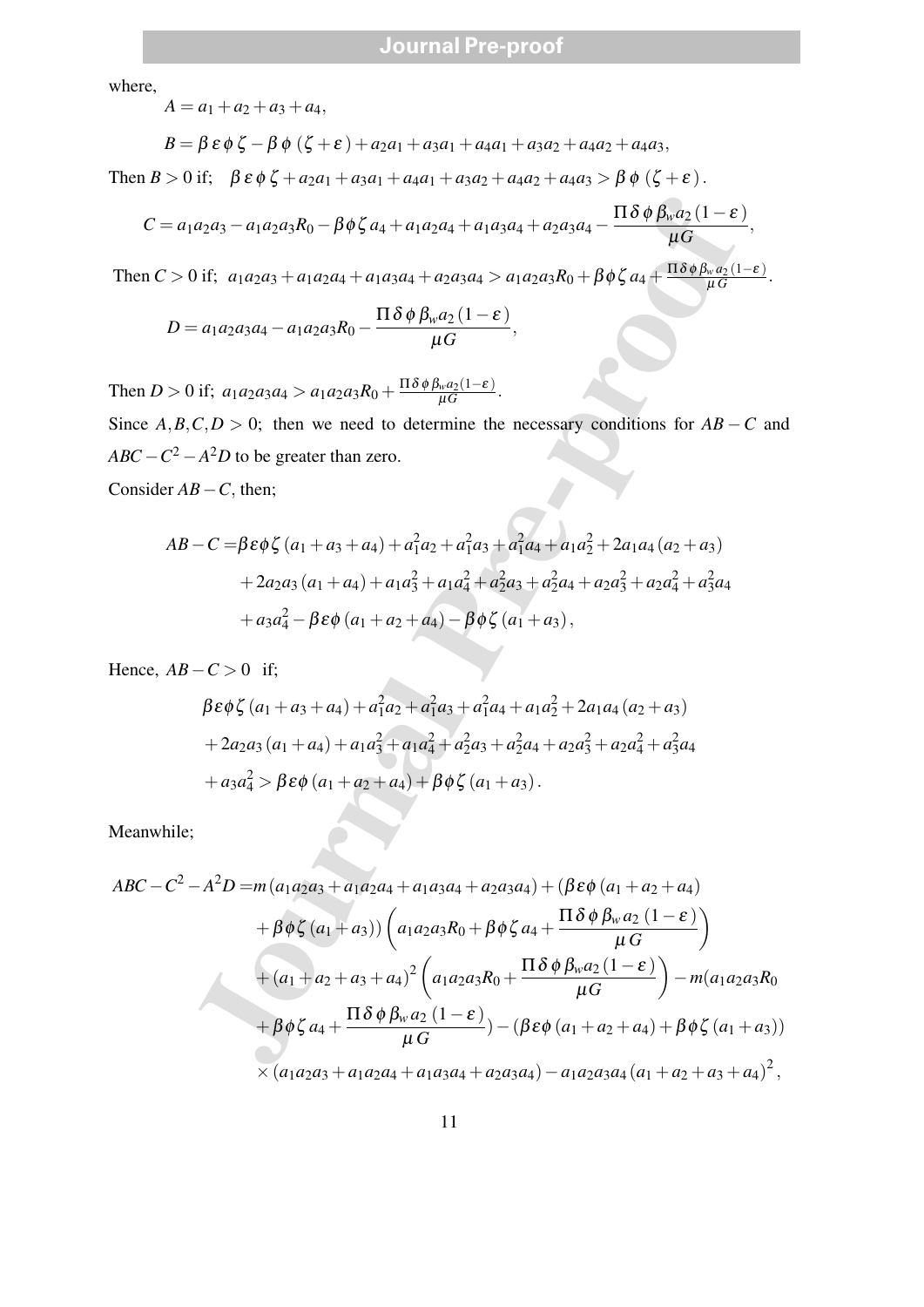where,

$$
A = a_1 + a_2 + a_3 + a_4,
$$

$$
B = \beta \varepsilon \phi \zeta - \beta \phi (\zeta + \varepsilon) + a_2 a_1 + a_3 a_1 + a_4 a_1 + a_3 a_2 + a_4 a_2 + a_4 a_3,
$$

Then  $B > 0$  if;  $\beta \varepsilon \phi \zeta + a_2 a_1 + a_3 a_1 + a_4 a_1 + a_3 a_2 + a_4 a_2 + a_4 a_3 > \beta \phi (\zeta + \varepsilon)$ .

$$
C = a_1 a_2 a_3 - a_1 a_2 a_3 R_0 - \beta \phi \zeta a_4 + a_1 a_2 a_4 + a_1 a_3 a_4 + a_2 a_3 a_4 - \frac{\Pi \delta \phi \beta_w a_2 (1 - \varepsilon)}{\mu G},
$$

Then  $C > 0$  if;  $a_1 a_2 a_3 + a_1 a_2 a_4 + a_1 a_3 a_4 + a_2 a_3 a_4 > a_1 a_2 a_3 R_0 + \beta \phi \zeta a_4 + \frac{\Pi \delta \phi \beta_w a_2 (1-\epsilon)}{\mu G}$ .

,

$$
D = a_1 a_2 a_3 a_4 - a_1 a_2 a_3 R_0 - \frac{\Pi \delta \phi \beta_w a_2 (1 - \varepsilon)}{\mu G}
$$

Then *D* > 0 if;  $a_1a_2a_3a_4 > a_1a_2a_3R_0 + \frac{\Pi \delta \phi \beta_w a_2(1-\epsilon)}{\mu G}$ . Since  $A, B, C, D > 0$ ; then we need to determine the necessary conditions for  $AB - C$  and

 $ABC - C^2 - A^2D$  to be greater than zero.

Consider *AB*−*C*, then;

$$
AB - C = \beta \varepsilon \phi \zeta (a_1 + a_3 + a_4) + a_1^2 a_2 + a_1^2 a_3 + a_1^2 a_4 + a_1 a_2^2 + 2a_1 a_4 (a_2 + a_3)
$$
  
+ 2a\_2 a\_3 (a\_1 + a\_4) + a\_1 a\_3^2 + a\_1 a\_4^2 + a\_2^2 a\_3 + a\_2^2 a\_4 + a\_2 a\_3^2 + a\_2 a\_4^2 + a\_3^2 a\_4  
+ a\_3 a\_4^2 - \beta \varepsilon \phi (a\_1 + a\_2 + a\_4) - \beta \phi \zeta (a\_1 + a\_3),

Hence,  $AB - C > 0$  if;

$$
\beta \varepsilon \phi \zeta (a_1 + a_3 + a_4) + a_1^2 a_2 + a_1^2 a_3 + a_1^2 a_4 + a_1 a_2^2 + 2 a_1 a_4 (a_2 + a_3)
$$
  
+ 2a\_2 a\_3 (a\_1 + a\_4) + a\_1 a\_3^2 + a\_1 a\_4^2 + a\_2^2 a\_3 + a\_2^2 a\_4 + a\_2 a\_3^2 + a\_2 a\_4^2 + a\_3^2 a\_4  
+ a\_3 a\_4^2 > \beta \varepsilon \phi (a\_1 + a\_2 + a\_4) + \beta \phi \zeta (a\_1 + a\_3).

Meanwhile;

C = a<sub>1</sub>a<sub>2</sub>a<sub>3</sub> - a<sub>1</sub>a<sub>2</sub>a<sub>3</sub>R<sub>0</sub> - βφζ a<sub>4</sub> + a<sub>1</sub>a<sub>2</sub>a<sub>4</sub> + a<sub>1</sub>a<sub>3</sub>a<sub>4</sub> + a<sub>2</sub>a<sub>3</sub>a<sub>4</sub> - 
$$
\frac{\Pi \delta \phi \beta_w a_2 (1 - \varepsilon)}{\mu G}
$$
,  
\nThen C > 0 if; a<sub>1</sub>a<sub>2</sub>a<sub>3</sub> + a<sub>1</sub>a<sub>2</sub>a<sub>4</sub> + a<sub>1</sub>a<sub>3</sub>a<sub>4</sub> + a<sub>2</sub>a<sub>3</sub>a<sub>4</sub> > a<sub>1</sub>a<sub>2</sub>a<sub>3</sub>R<sub>0</sub> + βφζ a<sub>4</sub> +  $\frac{\Pi \delta \phi \beta_w a_2 (1 - \varepsilon)}{\mu G}$ .  
\nD = a<sub>1</sub>a<sub>2</sub>a<sub>3</sub>a<sub>4</sub> - a<sub>1</sub>a<sub>2</sub>a<sub>3</sub>R<sub>0</sub> +  $\frac{\Pi \delta \phi \beta_w a_2 (1 - \varepsilon)}{\mu G}$ .  
\nThen D > 0 if, a<sub>1</sub>a<sub>2</sub>a<sub>3</sub>a<sub>4</sub> > a<sub>1</sub>a<sub>2</sub>a<sub>3</sub>R<sub>0</sub> +  $\frac{\Pi \delta \phi \beta_w a_2 (1 - \varepsilon)}{\mu G}$ .  
\nSince A, B, C, D > 0; then we need to determine the necessary conditions for AB – C and  
\nABC – C<sup>2</sup> – A<sup>2</sup>D to be greater than zero.  
\nConsider AB – C = βεφζ (a<sub>1</sub> + a<sub>3</sub> + a<sub>4</sub>) + a<sub>1</sub>a<sub>2</sub><sup>2</sup> + a<sub>1</sub>a<sub>3</sub><sup>2</sup> + a<sub>1</sub>a<sub>4</sub><sup>2</sup> + a<sub>2</sub>a<sub>4</sub> + a<sub>1</sub>a<sub>2</sub><sup>2</sup> + a<sub>2</sub>a<sub>4</sub><sup>2</sup> + a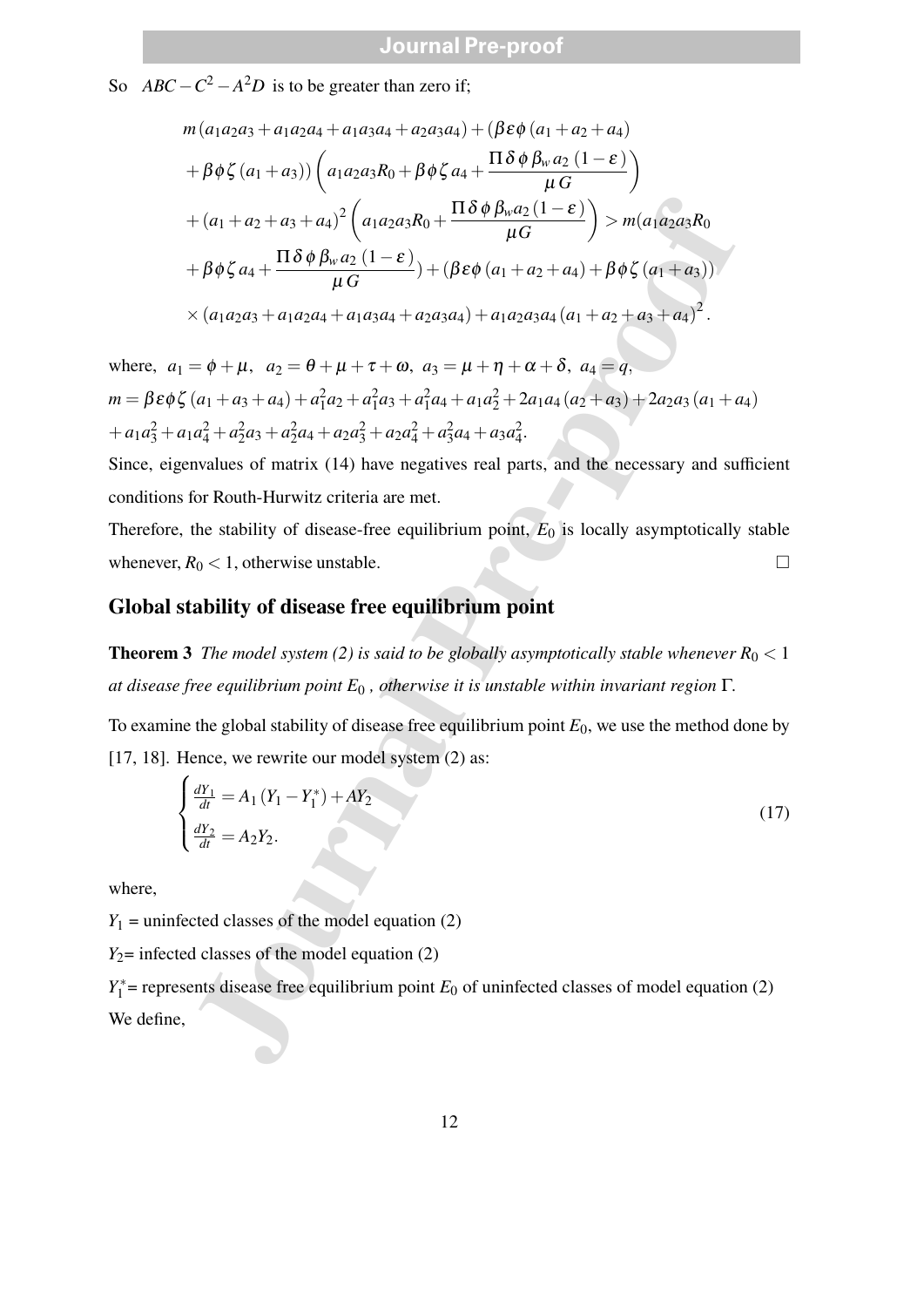So  $ABC - C^2 - A^2D$  is to be greater than zero if;

$$
m(a_1a_2a_3 + a_1a_2a_4 + a_1a_3a_4 + a_2a_3a_4) + (\beta \epsilon \phi (a_1 + a_2 + a_4)
$$
  
+  $\beta \phi \zeta (a_1 + a_3)$  )  $\left( a_1a_2a_3R_0 + \beta \phi \zeta a_4 + \frac{\Pi \delta \phi \beta_w a_2 (1 - \epsilon)}{\mu G} \right)$   
+  $(a_1 + a_2 + a_3 + a_4)^2 \left( a_1a_2a_3R_0 + \frac{\Pi \delta \phi \beta_w a_2 (1 - \epsilon)}{\mu G} \right)$  >  $m(a_1a_2a_3R_0$   
+  $\beta \phi \zeta a_4 + \frac{\Pi \delta \phi \beta_w a_2 (1 - \epsilon)}{\mu G}$  ) +  $(\beta \epsilon \phi (a_1 + a_2 + a_4) + \beta \phi \zeta (a_1 + a_3))$   
  $\times (a_1a_2a_3 + a_1a_2a_4 + a_1a_3a_4 + a_2a_3a_4) + a_1a_2a_3a_4 (a_1 + a_2 + a_3 + a_4)^2$ .  
=  $\phi + \mu$ ,  $a_2 = \theta + \mu + \tau + \omega$ ,  $a_3 = \mu + \eta + \alpha + \delta$ ,  $a_4 = q$ ,  
 $(a_1 + a_3 + a_4) + a_1^2a_2 + a_1^2a_3 + a_1^2a_4 + a_1a_2^2 + 2a_1a_4 (a_2 + a_3) + 2a_2a_3 (a_1 + a_1a_4^2 + a_2^2a_4 + a_2a_4^2 + a_2^2a_4 + a_3a_4^2$ .  
envalues of matrix (14) have negatives real parts, and the necessary and su  
for Routh-Hurwitz criteria are met.  
the stability of disease-free equilibrium point,  $E_0$  is locally asymptotically  
 $R_0 < 1$ , otherwise unstable.  
**tability of disease free equilibrium point.**  $E_0$  is locally asymptotically stable whenever  
free equilibrium point  $E_0$ , otherwise it is unstable within invariant region  $\Gamma$ .  
the global stability of disease free equilibrium (2) as:  
 $\begin{cases} \frac{dY_1}{dt} = A_1 (Y_$ 

where,  $a_1 = \phi + \mu$ ,  $a_2 = \theta + \mu + \tau + \omega$ ,  $a_3 = \mu + \eta + \alpha + \delta$ ,  $a_4 = q$ ,  $m = \beta \varepsilon \phi \zeta (a_1 + a_3 + a_4) + a_1^2 a_2 + a_1^2 a_3 + a_1^2 a_4 + a_1 a_2^2 + 2 a_1 a_4 (a_2 + a_3) + 2 a_2 a_3 (a_1 + a_4)$  $+a_1a_3^2 + a_1a_4^2 + a_2^2a_3 + a_2^2a_4 + a_2a_3^2 + a_2a_4^2 + a_3^2a_4 + a_3a_4^2.$ 

Since, eigenvalues of matrix (14) have negatives real parts, and the necessary and sufficient conditions for Routh-Hurwitz criteria are met.

Therefore, the stability of disease-free equilibrium point,  $E_0$  is locally asymptotically stable whenever,  $R_0 < 1$ , otherwise unstable.

#### **Global stability of disease free equilibrium point**

**Theorem 3** *The model system (2) is said to be globally asymptotically stable whenever*  $R_0 < 1$ *at disease free equilibrium point E*<sup>0</sup> *, otherwise it is unstable within invariant region* Γ*.*

To examine the global stability of disease free equilibrium point *E*0, we use the method done by [17, 18]. Hence, we rewrite our model system  $(2)$  as:

$$
\begin{cases}\n\frac{dY_1}{dt} = A_1 (Y_1 - Y_1^*) + AY_2 \\
\frac{dY_2}{dt} = A_2 Y_2.\n\end{cases}
$$
\n(17)

where,

 $Y_1$  = uninfected classes of the model equation (2)

 $Y_2$ = infected classes of the model equation (2)

 $Y_1^*$  = represents disease free equilibrium point  $E_0$  of uninfected classes of model equation (2) We define,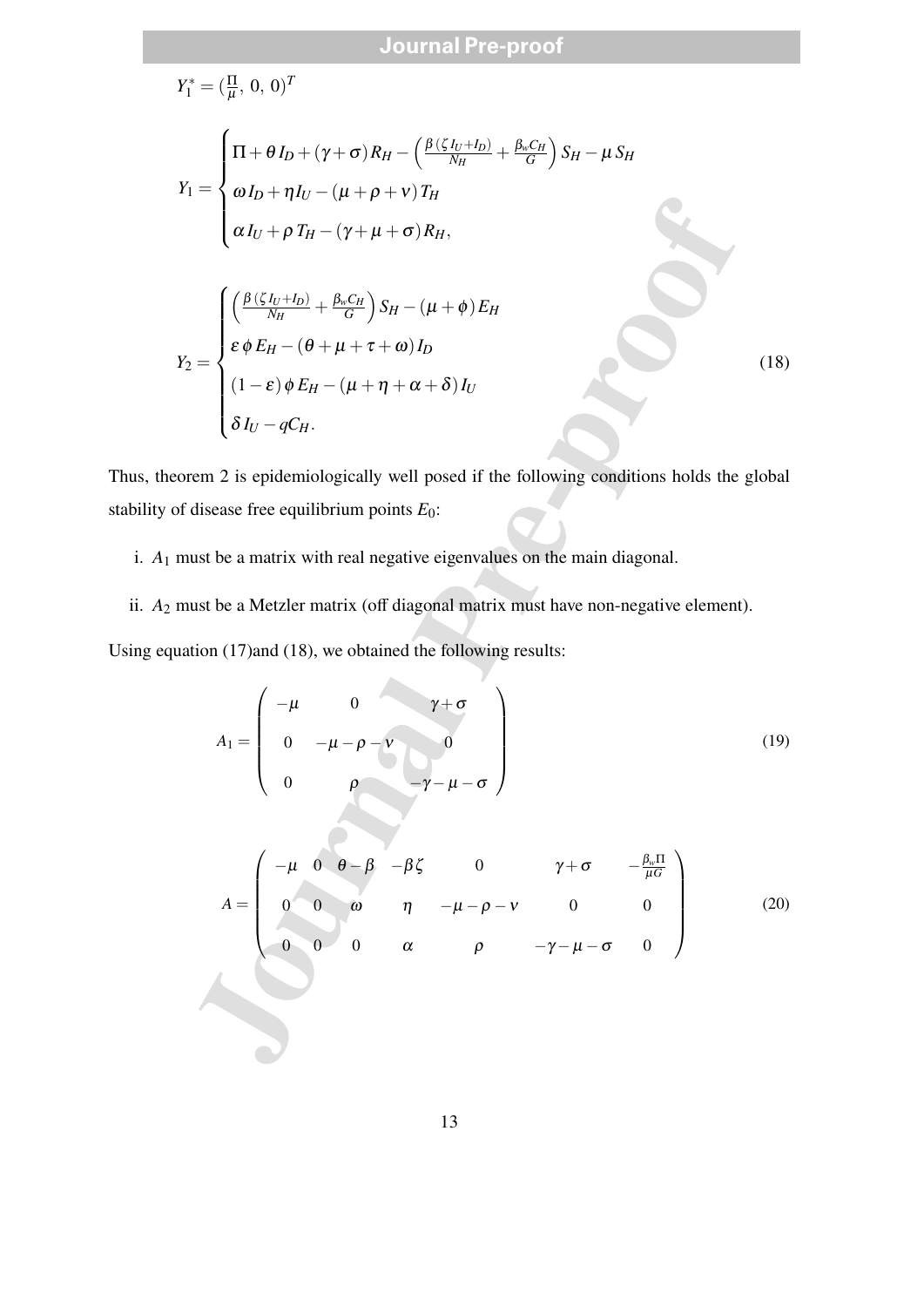$$
Y_1^* = (\frac{\pi}{\mu}, 0, 0)^T
$$
  
\n
$$
Y_1 = \begin{cases} \n\Pi + \theta I_D + (\gamma + \sigma) R_H - (\frac{\beta(\zeta I_U + I_D)}{N_H} + \frac{\beta_u C_H}{G}) S_H - \mu S_H \\
\alpha I_U + \rho T_H - (\gamma + \mu + \sigma) R_H, \\
\alpha I_U + \rho T_H - (\gamma + \mu + \sigma) R_H,\n\end{cases}
$$
  
\n
$$
Y_2 = \begin{cases} \n\left(\frac{\beta(\zeta I_U + I_D)}{N_H} + \frac{\beta_u C_H}{G}\right) S_H - (\mu + \phi) E_H \\
\epsilon \phi E_H - (\theta + \mu + \tau + \omega) I_D \\
\delta I_U - q C_H.\n\end{cases}
$$
 (18)  
\n
$$
\delta I_U - q C_H.
$$
  
\ntheorem 2 is epidemiologically well posed if the following conditions holds the global  
\nof disease free equilibrium points  $E_0$ :  
\n1 must be a matrix with real negative eigenvalues on the main diagonal.  
\n2 must be a Metzler matrix (off diagonal matrix must have non-negative element).  
\nquation (17) and (18), we obtained the following results:  
\n
$$
A_1 = \begin{pmatrix} -\mu & 0 & \gamma + \sigma \\
0 & -\mu - \rho - \nu & 0 \\
0 & \rho & -\gamma - \mu - \sigma\n\end{pmatrix}
$$
 (19)  
\n
$$
A = \begin{pmatrix} -\mu & 0 & \rho - \beta & 0 & \gamma + \sigma & -\frac{\beta_u \pi}{\mu G} \\
0 & 0 & \eta & -\mu - \rho - \nu & 0 & 0 \\
0 & 0 & \alpha & \rho & -\gamma - \mu - \sigma & 0\n\end{pmatrix}
$$
 (20)

Thus, theorem 2 is epidemiologically well posed if the following conditions holds the global stability of disease free equilibrium points *E*0:

- i. *A*<sup>1</sup> must be a matrix with real negative eigenvalues on the main diagonal.
- ii. *A*<sup>2</sup> must be a Metzler matrix (off diagonal matrix must have non-negative element).

Using equation (17)and (18), we obtained the following results:

$$
A_1 = \begin{pmatrix} -\mu & 0 & \gamma + \sigma \\ 0 & -\mu - \rho - \nu & 0 \\ 0 & \rho & -\gamma - \mu - \sigma \end{pmatrix}
$$
(19)

$$
A = \begin{pmatrix} -\mu & 0 & \theta - \beta & -\beta \zeta & 0 & \gamma + \sigma & -\frac{\beta_w \Pi}{\mu G} \\ 0 & 0 & \omega & \eta & -\mu - \rho - v & 0 & 0 \\ 0 & 0 & 0 & \alpha & \rho & -\gamma - \mu - \sigma & 0 \end{pmatrix}
$$
(20)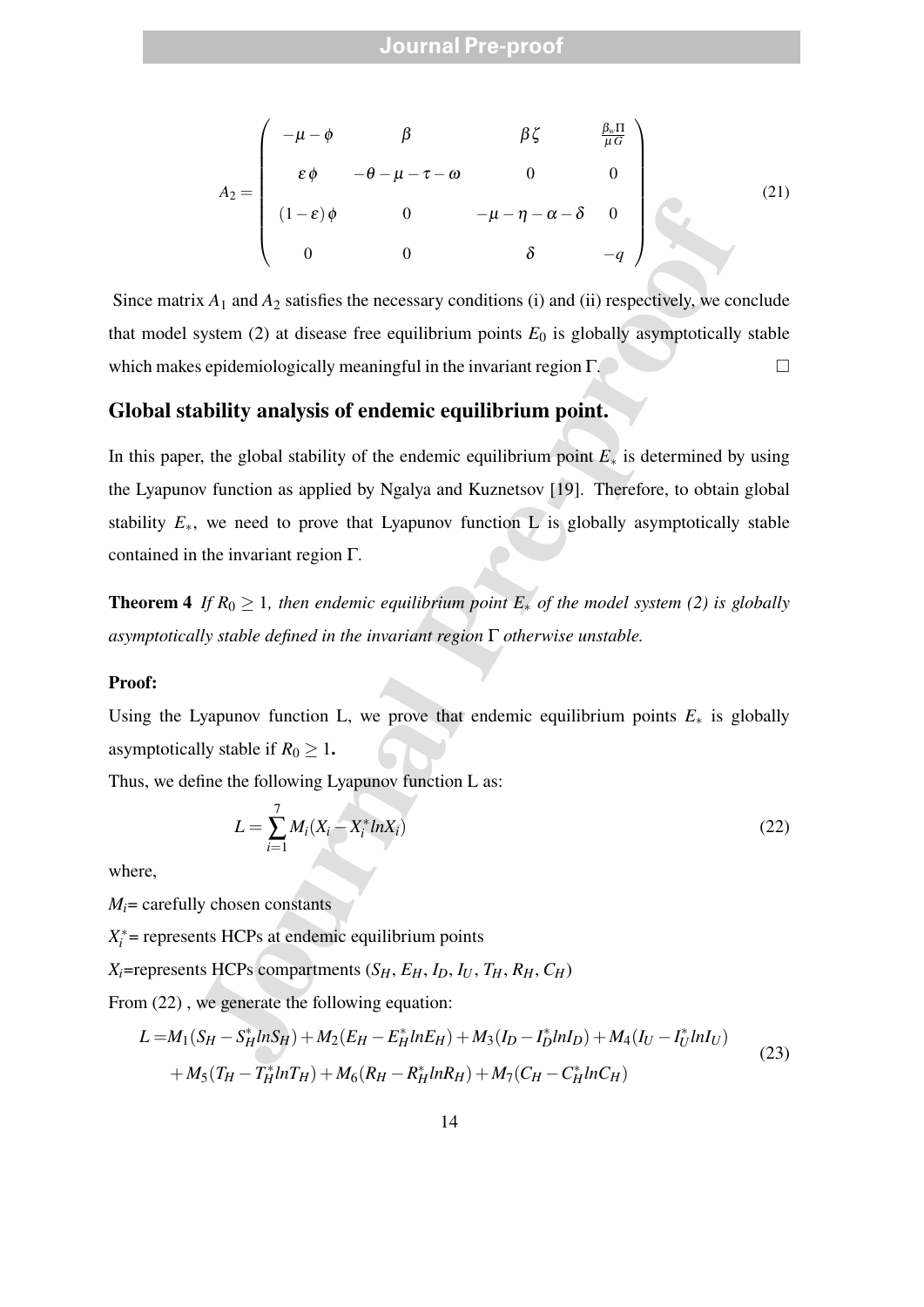$$
A_2 = \begin{pmatrix} -\mu - \phi & \beta & \beta \zeta & \frac{\beta_w \Pi}{\mu G} \\ \varepsilon \phi & -\theta - \mu - \tau - \omega & 0 & 0 \\ (1 - \varepsilon)\phi & 0 & -\mu - \eta - \alpha - \delta & 0 \\ 0 & 0 & \delta & -q \end{pmatrix}
$$
(21)

Since matrix  $A_1$  and  $A_2$  satisfies the necessary conditions (i) and (ii) respectively, we conclude that model system  $(2)$  at disease free equilibrium points  $E_0$  is globally asymptotically stable which makes epidemiologically meaningful in the invariant region Γ.

#### **Global stability analysis of endemic equilibrium point.**

 $\alpha$ <br>  $\alpha$ <br>  $\alpha$  (1-e)  $\phi$  0  $-\mu - \eta - \alpha - \delta$  0<br>  $\alpha$  is  $A_1$  and  $A_2$  satisfies the necessary conditions (i) and (ii) respectively, we co<br>
system (2) at discase free equilibrium points  $E_0$  is globally asymptotically<br>
a In this paper, the global stability of the endemic equilibrium point *E*<sup>∗</sup> is determined by using the Lyapunov function as applied by Ngalya and Kuznetsov [19]. Therefore, to obtain global stability  $E_{\ast}$ , we need to prove that Lyapunov function L is globally asymptotically stable contained in the invariant region Γ.

**Theorem 4** *If*  $R_0 \geq 1$ *, then endemic equilibrium point*  $E_*$  *of the model system (2) is globally asymptotically stable defined in the invariant region* Γ *otherwise unstable.*

#### **Proof:**

Using the Lyapunov function L, we prove that endemic equilibrium points  $E_*$  is globally asymptotically stable if  $R_0 \geq 1$ .

Thus, we define the following Lyapunov function L as:

$$
L = \sum_{i=1}^{7} M_i (X_i - X_i^* ln X_i)
$$
 (22)

where,

 $M_i$ = carefully chosen constants

 $X_i^*$  = represents HCPs at endemic equilibrium points

 $X_i$ =represents HCPs compartments  $(S_H, E_H, I_D, I_U, T_H, R_H, C_H)$ 

From  $(22)$ , we generate the following equation:

$$
L = M_1(S_H - S_H^* ln S_H) + M_2(E_H - E_H^* ln E_H) + M_3(I_D - I_D^* ln I_D) + M_4(I_U - I_U^* ln I_U)
$$
  
+ 
$$
M_5(T_H - T_H^* ln T_H) + M_6(R_H - R_H^* ln R_H) + M_7(C_H - C_H^* ln C_H)
$$
 (23)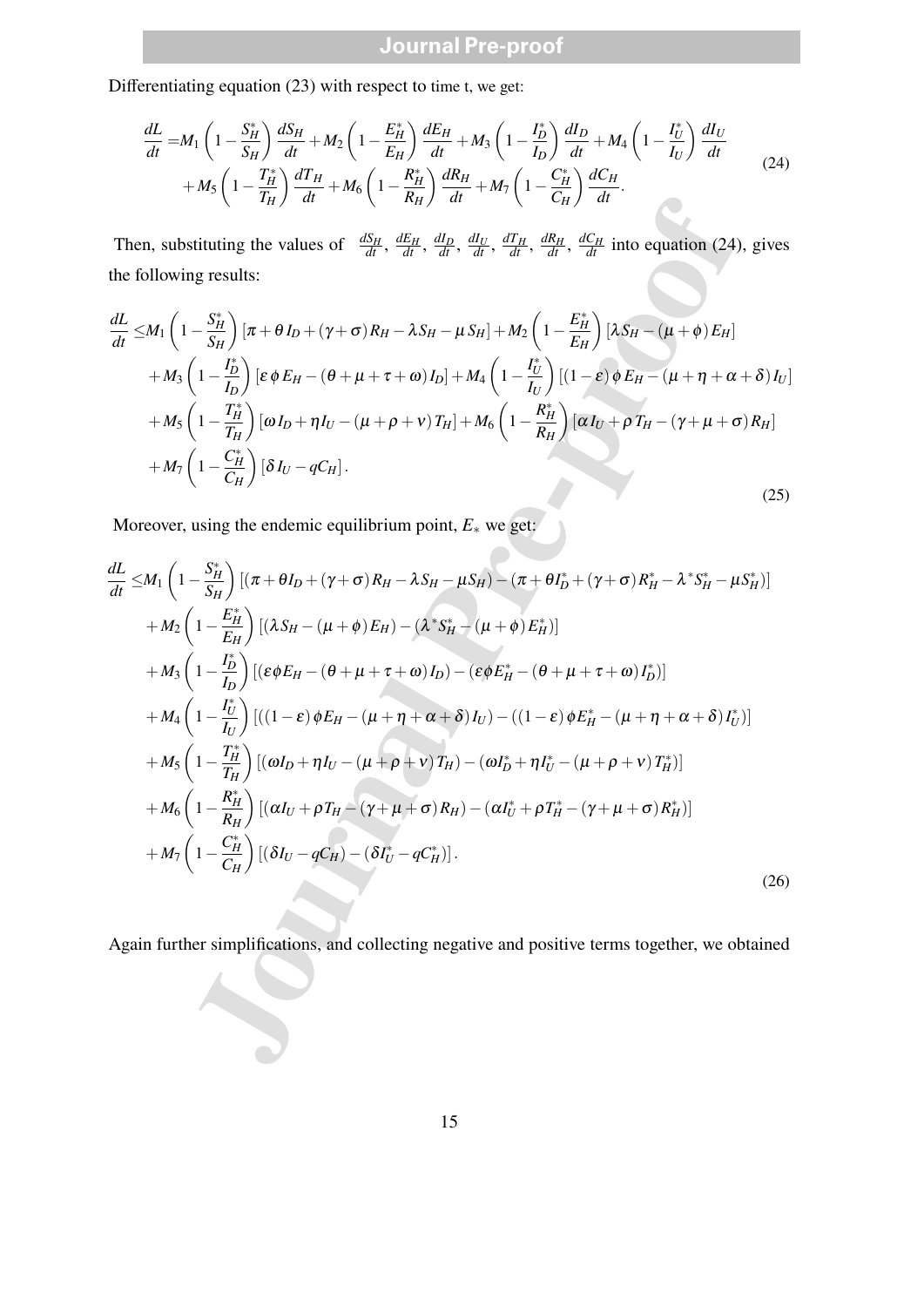Differentiating equation (23) with respect to time t, we get:

$$
\frac{dL}{dt} = M_1 \left( 1 - \frac{S_H^*}{S_H} \right) \frac{dS_H}{dt} + M_2 \left( 1 - \frac{E_H^*}{E_H} \right) \frac{dE_H}{dt} + M_3 \left( 1 - \frac{I_D^*}{I_D} \right) \frac{dI_D}{dt} + M_4 \left( 1 - \frac{I_U^*}{I_U} \right) \frac{dI_U}{dt} + M_5 \left( 1 - \frac{I_H^*}{I_H} \right) \frac{dI_H}{dt} + M_6 \left( 1 - \frac{R_H^*}{R_H} \right) \frac{dR_H}{dt} + M_7 \left( 1 - \frac{C_H^*}{C_H} \right) \frac{dC_H}{dt}.
$$
\n(24)

Then, substituting the values of  $\frac{dS_H}{dt}$ ,  $\frac{dE_H}{dt}$ ,  $\frac{dI_D}{dt}$ ,  $\frac{dI_U}{dt}$ ,  $\frac{dI_H}{dt}$ ,  $\frac{dR_H}{dt}$ ,  $\frac{dC_H}{dt}$  into equation (24), gives the following results:

$$
\frac{dL}{dt} \leq M_1 \left( 1 - \frac{S_H^*}{S_H} \right) \left[ \pi + \theta I_D + (\gamma + \sigma) R_H - \lambda S_H - \mu S_H \right] + M_2 \left( 1 - \frac{E_H^*}{E_H} \right) \left[ \lambda S_H - (\mu + \phi) E_H \right]
$$
\n
$$
+ M_3 \left( 1 - \frac{I_D^*}{I_D} \right) \left[ \varepsilon \phi E_H - (\theta + \mu + \tau + \omega) I_D \right] + M_4 \left( 1 - \frac{I_U^*}{I_U} \right) \left[ (1 - \varepsilon) \phi E_H - (\mu + \eta + \alpha + \delta) I_U \right]
$$
\n
$$
+ M_5 \left( 1 - \frac{I_H^*}{I_H} \right) \left[ \omega I_D + \eta I_U - (\mu + \rho + \nu) T_H \right] + M_6 \left( 1 - \frac{R_H^*}{R_H} \right) \left[ \alpha I_U + \rho T_H - (\gamma + \mu + \sigma) R_H \right]
$$
\n
$$
+ M_7 \left( 1 - \frac{C_H^*}{C_H} \right) \left[ \delta I_U - q C_H \right].
$$
\n(25)

Moreover, using the endemic equilibrium point, *E*<sup>∗</sup> we get:

Then, substituting the values of 
$$
\frac{dS_H}{dt}
$$
,  $\frac{dE_H}{dt}$ ,  $\frac{dI_B}{dt}$ ,  $\frac{dI_B}{dt}$ ,  $\frac{dI_B}{dt}$ ,  $\frac{dI_B}{dt}$ ,  $\frac{dI_B}{dt}$ ,  $\frac{dI_B}{dt}$ ,  $\frac{dI_B}{dt}$ ,  $\frac{dI_B}{dt}$  into equation (24), gives  
the following results:  

$$
\frac{dL}{dt} \leq M_1 \left(1 - \frac{S_H^2}{S_H}\right) [\pi + \theta I_D + (\gamma + \sigma) R_H - \lambda S_H - \mu S_H] + M_2 \left(1 - \frac{E_H}{E_H}\right) [\lambda S_H - (\mu + \phi) E_H]
$$

$$
+ M_3 \left(1 - \frac{I_D^2}{I_D}\right) [\varepsilon \phi E_H - (\theta + \mu + \tau + \omega) I_D] + M_4 \left(1 - \frac{I_D^2}{I_U}\right) [(\lambda - \varepsilon) \phi E_H - (\mu + \eta + \alpha + \delta) I_U]
$$

$$
+ M_5 \left(1 - \frac{T_H^2}{I_H}\right) [\omega I_D + \eta I_U - (\mu + \rho + \nu) T_H] + M_6 \left(1 - \frac{R_H^2}{R_H}\right) [\varepsilon I_U + \rho T_H - (\gamma + \mu + \sigma) R_H]
$$

$$
+ M_7 \left(1 - \frac{C_H^2}{C_H}\right) [\delta I_U - q C_H].
$$
(25)  
Moreover, using the endemic equilibrium point,  $E_*$  we get:  

$$
\frac{dL}{dt} \leq M_1 \left(1 - \frac{S_H^2}{S_H}\right) [(\lambda S_H - (\mu + \phi) E_H) - (\lambda^* S_H - (\mu + \phi) E_H^2)]
$$

$$
+ M_2 \left(1 - \frac{I_D^2}{E_H}\right) [(\lambda S_H - (\mu + \phi) E_H) - (\lambda^* S_H - (\mu + \phi) E_H^2)]
$$

$$
+ M_3 \left(1 - \frac{I_D^2}{I_U}\right) [(\varepsilon \phi E_H - (\theta + \mu + \tau + \omega) I_D) - (\varepsilon \phi E_H^2 - (\theta + \mu + \tau + \omega) I_D^2)]
$$

$$
+ M_4 \left(1 - \frac{I_U^2}{I_U}\right) [
$$

Again further simplifications, and collecting negative and positive terms together, we obtained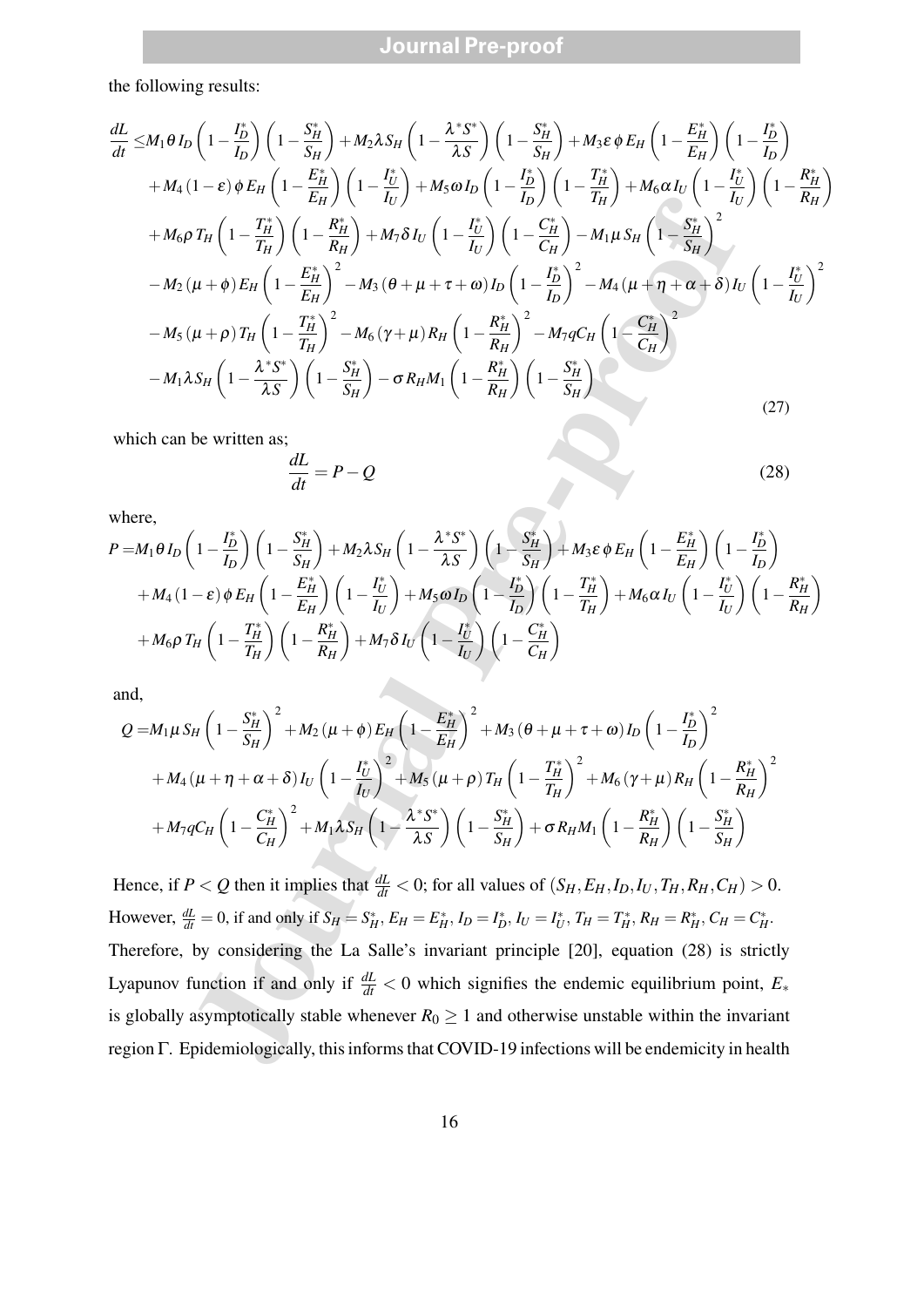the following results:

$$
\frac{dL}{dt} \leq M_1 \theta I_D \left(1 - \frac{I_D}{I_D}\right) \left(1 - \frac{S_H^*}{S_H}\right) + M_2 \lambda S_H \left(1 - \frac{\lambda^2 S^*}{\lambda S}\right) \left(1 - \frac{S_H^*}{I_D}\right) + M_5 \epsilon \phi E_H \left(1 - \frac{E_H^*}{I_D}\right) \left(1 - \frac{I_D^*}{I_D}\right)
$$
\n
$$
+ M_4 (1 - \epsilon) \phi E_H \left(1 - \frac{E_H^*}{E_H}\right) \left(1 - \frac{I_D^*}{I_D}\right) + M_5 \omega I_D \left(1 - \frac{I_D^*}{I_D}\right) \left(1 - \frac{I_D^*}{I_D}\right) + M_6 \omega I_U \left(1 - \frac{I_D^*}{I_D}\right) \left(1 - \frac{I_D^*}{I_D}\right)
$$
\n
$$
+ M_6 \rho T_H \left(1 - \frac{I_D^*}{I_H}\right) \left(1 - \frac{R_H^*}{R_H}\right) + M_5 \delta I_U \left(1 - \frac{I_D^*}{I_U}\right) \left(1 - \frac{C_H^*}{C_H}\right) - M_1 \mu S_H \left(1 - \frac{S_H^*}{S_H}\right)^2
$$
\n
$$
- M_2 (\mu + \phi) E_H \left(1 - \frac{E_H^*}{I_H}\right)^2 - M_3 ( \theta + \mu + \tau + \omega) I_D \left(1 - \frac{I_D^*}{I_D}\right)^2 - M_4 (\mu + \eta + \alpha + \delta) I_U \left(1 - \frac{I_D^*}{I_U}\right)^2
$$
\n
$$
- M_5 (\mu + \rho) T_H \left(1 - \frac{I_H^*}{I_D}\right)^2 - M_5 (\gamma + \mu) R_H \left(1 - \frac{R_H^*}{R_H}\right)^2 - M_7 q C_H \left(1 - \frac{C_H^*}{C_H}\right)^2
$$
\nwhich can be written as:  
\n
$$
\frac{dL}{dt} = P - Q
$$
\nwhere,  
\n
$$
P = M_1 \delta I_D \left(1 - \frac{I_D^*}{I_D}\right) \left(1 - \frac{S_H^*}{S_H}\right) + M_2 \lambda S_H \left(1 - \frac{\lambda^2 S^*}{\lambda S}\right) \left(1 - \frac{S_H^
$$

which can be written as;

$$
\frac{dL}{dt} = P - Q \tag{28}
$$

where,

$$
P = M_1 \theta I_D \left( 1 - \frac{I_D^*}{I_D} \right) \left( 1 - \frac{S_H^*}{S_H} \right) + M_2 \lambda S_H \left( 1 - \frac{\lambda^* S^*}{\lambda S} \right) \left( 1 - \frac{S_H^*}{S_H} \right) + M_3 \varepsilon \phi E_H \left( 1 - \frac{E_H^*}{E_H} \right) \left( 1 - \frac{I_D^*}{I_D} \right)
$$
  
+ 
$$
M_4 (1 - \varepsilon) \phi E_H \left( 1 - \frac{E_H^*}{E_H} \right) \left( 1 - \frac{I_U^*}{I_U} \right) + M_5 \omega I_D \left( 1 - \frac{I_D^*}{I_D} \right) \left( 1 - \frac{T_H^*}{T_H} \right) + M_6 \alpha I_U \left( 1 - \frac{I_U^*}{I_U} \right) \left( 1 - \frac{R_H^*}{R_H} \right)
$$
  
+ 
$$
M_6 \rho T_H \left( 1 - \frac{T_H^*}{T_H} \right) \left( 1 - \frac{R_H^*}{R_H} \right) + M_7 \delta I_U \left( 1 - \frac{I_U^*}{I_U} \right) \left( 1 - \frac{C_H^*}{C_H} \right)
$$

and,

$$
Q = M_{1}\mu S_{H} \left(1 - \frac{S_{H}^{*}}{S_{H}}\right)^{2} + M_{2} \left(\mu + \phi\right) E_{H} \left(1 - \frac{E_{H}^{*}}{E_{H}}\right)^{2} + M_{3} \left(\theta + \mu + \tau + \omega\right) I_{D} \left(1 - \frac{I_{D}^{*}}{I_{D}}\right)^{2} + M_{4} \left(\mu + \eta + \alpha + \delta\right) I_{U} \left(1 - \frac{I_{U}^{*}}{I_{U}}\right)^{2} + M_{5} \left(\mu + \rho\right) T_{H} \left(1 - \frac{T_{H}^{*}}{T_{H}}\right)^{2} + M_{6} \left(\gamma + \mu\right) R_{H} \left(1 - \frac{R_{H}^{*}}{R_{H}}\right)^{2} + M_{7} q C_{H} \left(1 - \frac{C_{H}^{*}}{C_{H}}\right)^{2} + M_{1} \lambda S_{H} \left(1 - \frac{\lambda^{*} S^{*}}{\lambda S}\right) \left(1 - \frac{S_{H}^{*}}{S_{H}}\right) + \sigma R_{H} M_{1} \left(1 - \frac{R_{H}^{*}}{R_{H}}\right) \left(1 - \frac{S_{H}^{*}}{S_{H}}\right)
$$

Hence, if  $P < Q$  then it implies that  $\frac{dL}{dt} < 0$ ; for all values of  $(S_H, E_H, I_D, I_U, T_H, R_H, C_H) > 0$ . However,  $\frac{dL}{dt} = 0$ , if and only if  $S_H = S_H^*$ ,  $E_H = E_H^*$ ,  $I_D = I_D^*$ ,  $I_U = I_U^*$ ,  $T_H = T_H^*$ ,  $R_H = R_H^*$ ,  $C_H = C_H^*$ . Therefore, by considering the La Salle's invariant principle [20], equation (28) is strictly Lyapunov function if and only if  $\frac{dL}{dt} < 0$  which signifies the endemic equilibrium point,  $E_*$ is globally asymptotically stable whenever  $R_0 \ge 1$  and otherwise unstable within the invariant region Γ. Epidemiologically, this informs that COVID-19 infections will be endemicity in health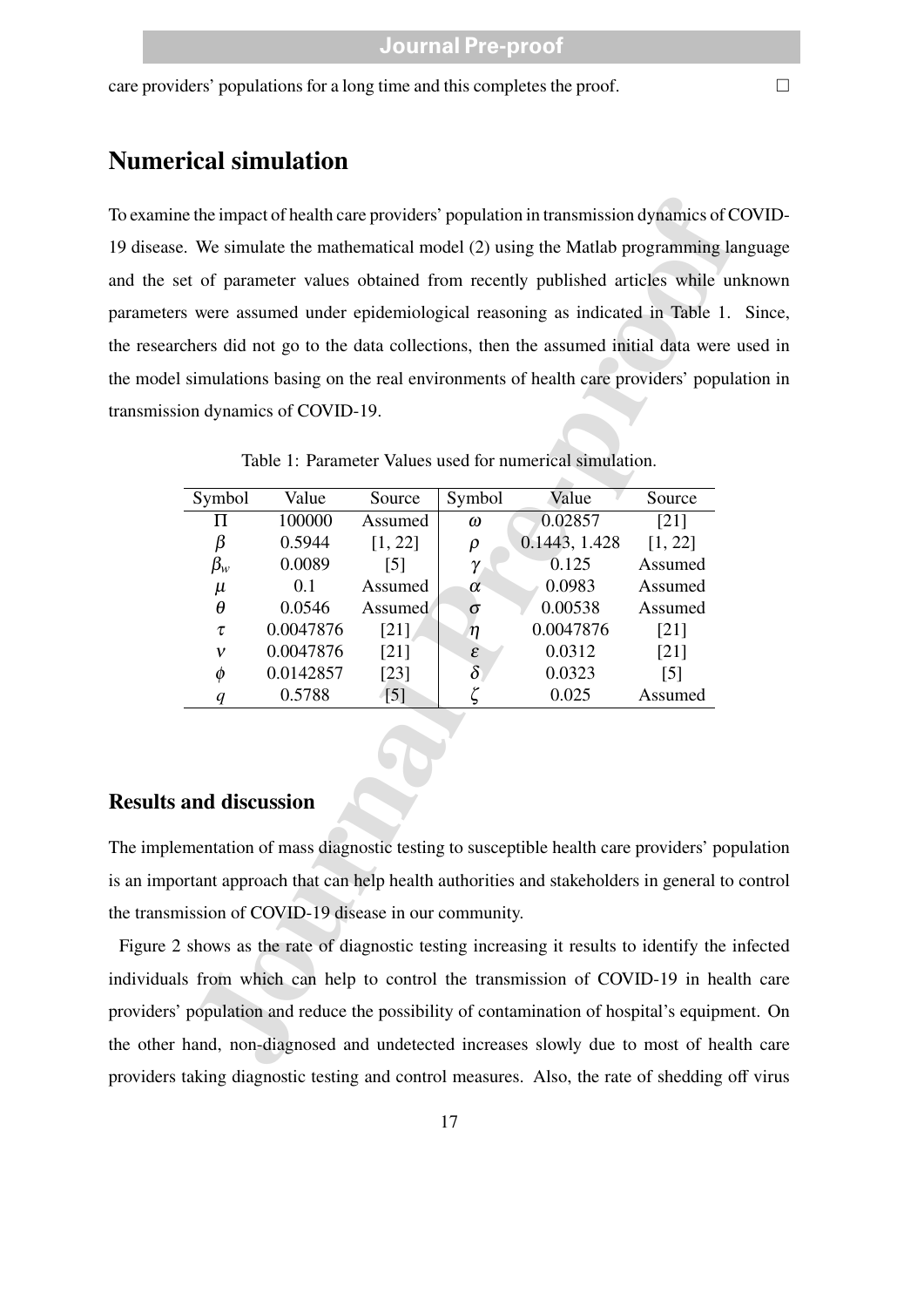care providers' populations for a long time and this completes the proof.  $\Box$ 

### **Numerical simulation**

To examine the impact of health care providers' population in transmission dynamics of COVID-19 disease. We simulate the mathematical model (2) using the Matlab programming language and the set of parameter values obtained from recently published articles while unknown parameters were assumed under epidemiological reasoning as indicated in Table 1. Since, the researchers did not go to the data collections, then the assumed initial data were used in the model simulations basing on the real environments of health care providers' population in transmission dynamics of COVID-19.

|                                                                            |                                              |                   |                     | e the impact of health care providers' population in transmission dynamics of C  |                   |  |
|----------------------------------------------------------------------------|----------------------------------------------|-------------------|---------------------|----------------------------------------------------------------------------------|-------------------|--|
| . We simulate the mathematical model (2) using the Matlab programming lare |                                              |                   |                     |                                                                                  |                   |  |
| et of parameter values obtained from recently published articles while un  |                                              |                   |                     |                                                                                  |                   |  |
|                                                                            |                                              |                   |                     |                                                                                  |                   |  |
|                                                                            |                                              |                   |                     | s were assumed under epidemiological reasoning as indicated in Table 1.          |                   |  |
|                                                                            |                                              |                   |                     | chers did not go to the data collections, then the assumed initial data were a   |                   |  |
|                                                                            |                                              |                   |                     | simulations basing on the real environments of health care providers' popular    |                   |  |
|                                                                            | on dynamics of COVID-19.                     |                   |                     |                                                                                  |                   |  |
|                                                                            |                                              |                   |                     |                                                                                  |                   |  |
|                                                                            |                                              |                   |                     | Table 1: Parameter Values used for numerical simulation.                         |                   |  |
|                                                                            |                                              |                   |                     |                                                                                  |                   |  |
| Symbol                                                                     | Value                                        | Source            | Symbol              | Value                                                                            | Source            |  |
| П                                                                          | 100000                                       | Assumed           | $\omega$            | 0.02857                                                                          | $[21]$            |  |
| β                                                                          | 0.5944                                       | [1, 22]           | $\rho$              | 0.1443, 1.428                                                                    | [1, 22]           |  |
| $\beta_w$                                                                  | 0.0089                                       | $\lceil 5 \rceil$ | γ                   | 0.125                                                                            | Assumed           |  |
| $\mu$                                                                      | 0.1                                          | Assumed           | $\alpha$            | 0.0983                                                                           | Assumed           |  |
| $\theta$                                                                   | 0.0546                                       | Assumed           | $\sigma$            | 0.00538                                                                          | Assumed           |  |
| τ                                                                          | 0.0047876                                    | [21]              | $\eta$              | 0.0047876                                                                        | [21]              |  |
| v                                                                          | 0.0047876                                    | $[21]$            | $\pmb{\varepsilon}$ | 0.0312                                                                           | $[21]$            |  |
| $\phi$                                                                     | 0.0142857                                    | $[23]$            | $\delta$            | 0.0323                                                                           | $\lceil 5 \rceil$ |  |
| q                                                                          | 0.5788                                       | $\lceil 5 \rceil$ | ζ                   | 0.025                                                                            | Assumed           |  |
|                                                                            |                                              |                   |                     |                                                                                  |                   |  |
|                                                                            |                                              |                   |                     |                                                                                  |                   |  |
|                                                                            |                                              |                   |                     |                                                                                  |                   |  |
| and discussion                                                             |                                              |                   |                     |                                                                                  |                   |  |
|                                                                            |                                              |                   |                     | mentation of mass diagnostic testing to susceptible health care providers' pop   |                   |  |
|                                                                            |                                              |                   |                     | ortant approach that can help health authorities and stakeholders in general to  |                   |  |
|                                                                            | ission of COVID-19 disease in our community. |                   |                     |                                                                                  |                   |  |
|                                                                            |                                              |                   |                     | shows as the rate of diagnostic testing increasing it results to identify the in |                   |  |
|                                                                            |                                              |                   |                     | is from which can help to control the transmission of COVID-19 in healt          |                   |  |
|                                                                            |                                              |                   |                     | population and reduce the possibility of contamination of hospital's equipment   |                   |  |
| hand, non-diagnosed and undetected increases slowly due to most of healt   |                                              |                   |                     |                                                                                  |                   |  |
|                                                                            |                                              |                   |                     |                                                                                  |                   |  |

Table 1: Parameter Values used for numerical simulation.

#### **Results and discussion**

The implementation of mass diagnostic testing to susceptible health care providers' population is an important approach that can help health authorities and stakeholders in general to control the transmission of COVID-19 disease in our community.

Figure 2 shows as the rate of diagnostic testing increasing it results to identify the infected individuals from which can help to control the transmission of COVID-19 in health care providers' population and reduce the possibility of contamination of hospital's equipment. On the other hand, non-diagnosed and undetected increases slowly due to most of health care providers taking diagnostic testing and control measures. Also, the rate of shedding off virus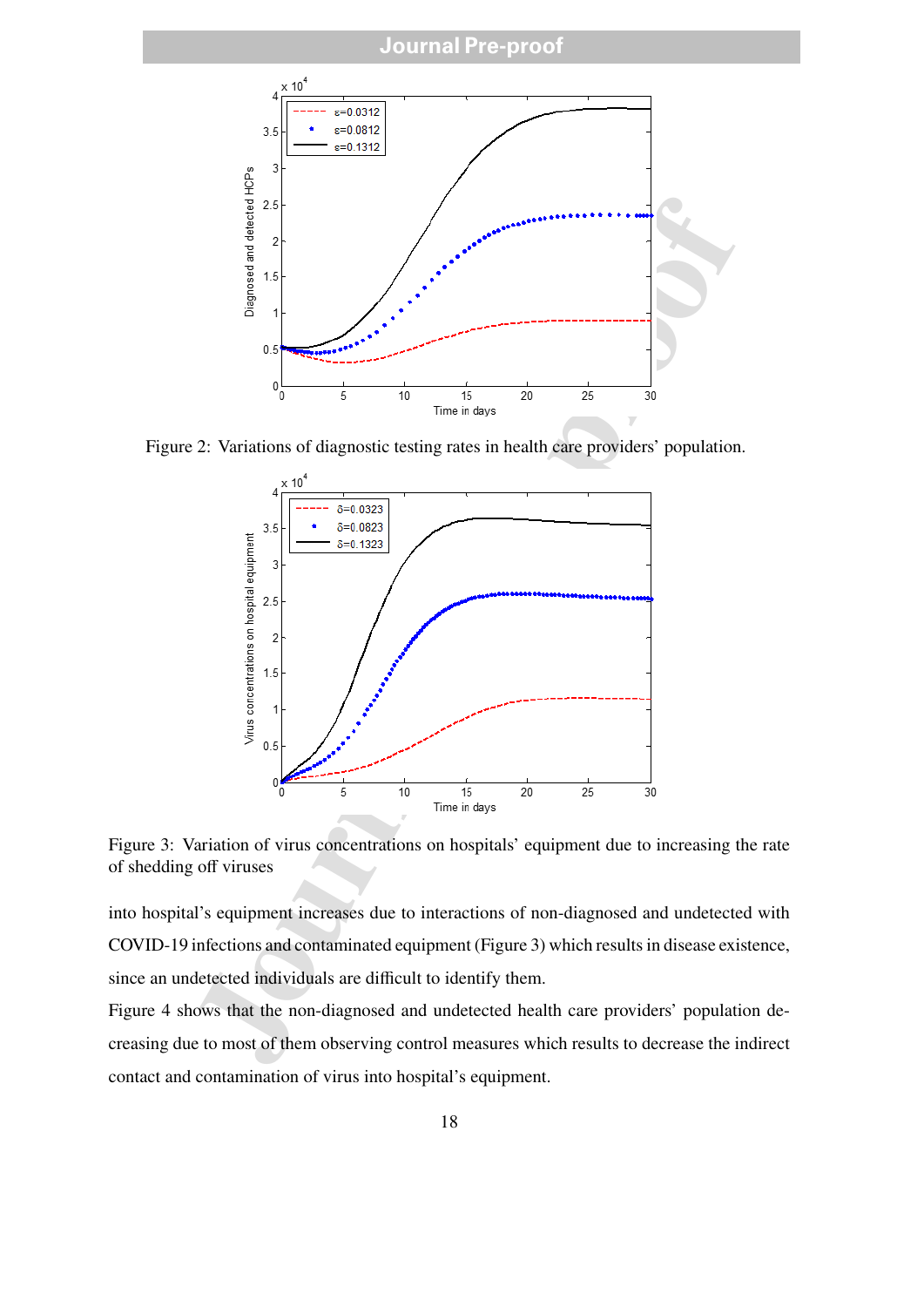

Figure 2: Variations of diagnostic testing rates in health care providers' population.



Figure 3: Variation of virus concentrations on hospitals' equipment due to increasing the rate of shedding off viruses

into hospital's equipment increases due to interactions of non-diagnosed and undetected with COVID-19 infections and contaminated equipment (Figure 3) which results in disease existence, since an undetected individuals are difficult to identify them.

Figure 4 shows that the non-diagnosed and undetected health care providers' population decreasing due to most of them observing control measures which results to decrease the indirect contact and contamination of virus into hospital's equipment.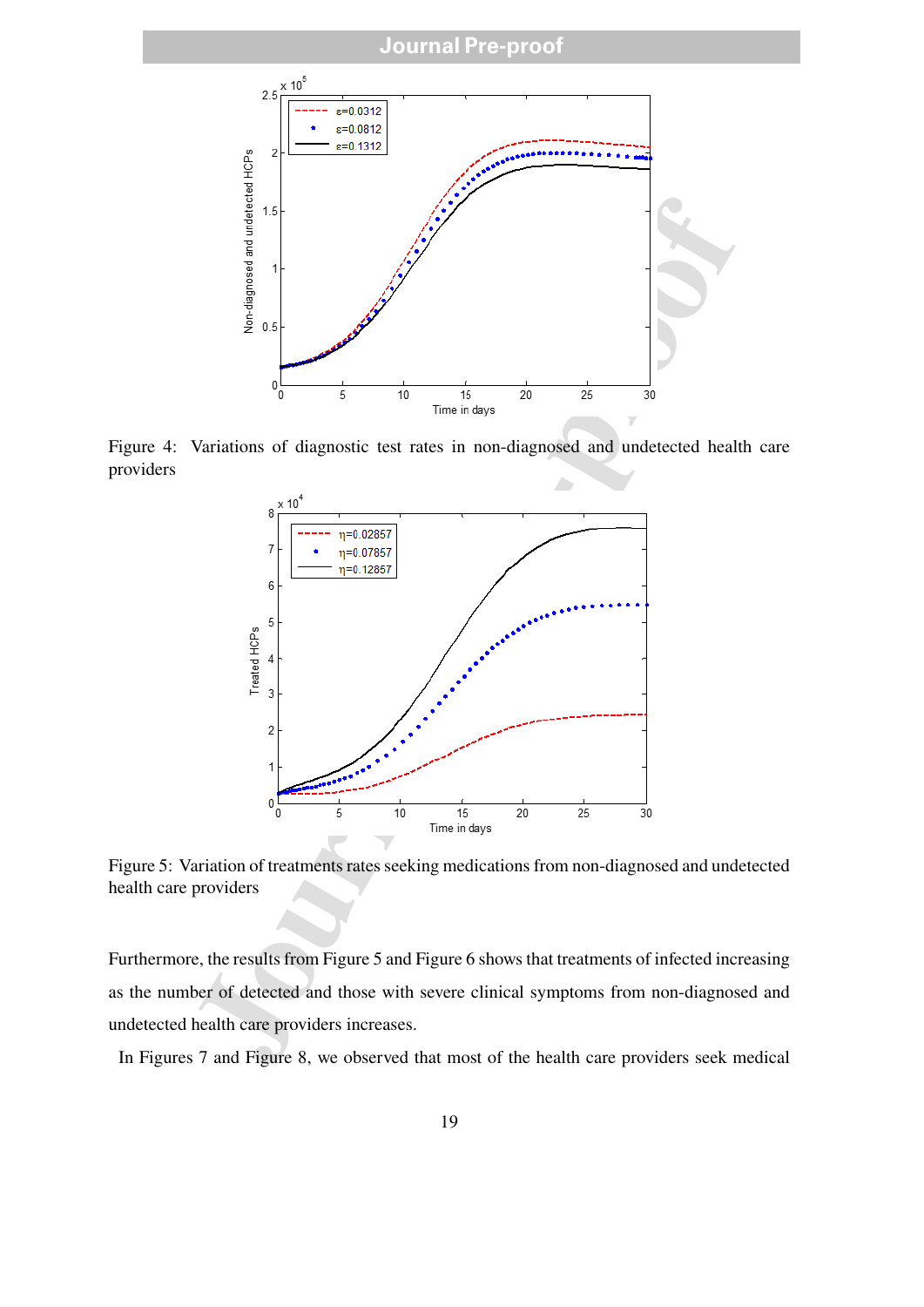

Figure 4: Variations of diagnostic test rates in non-diagnosed and undetected health care providers



Figure 5: Variation of treatments rates seeking medications from non-diagnosed and undetected health care providers

Furthermore, the results from Figure 5 and Figure 6 shows that treatments of infected increasing as the number of detected and those with severe clinical symptoms from non-diagnosed and undetected health care providers increases.

In Figures 7 and Figure 8, we observed that most of the health care providers seek medical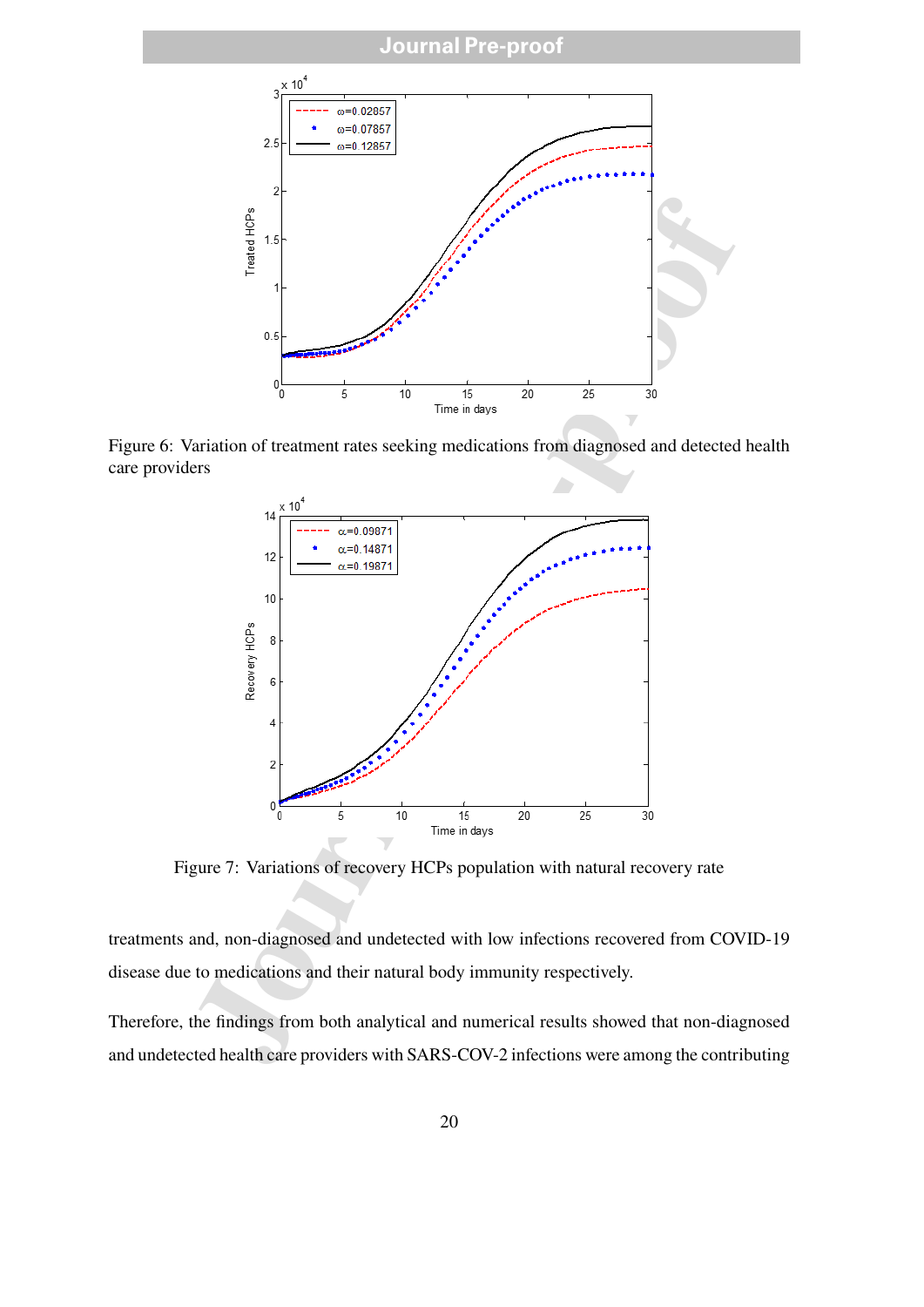

Figure 6: Variation of treatment rates seeking medications from diagnosed and detected health care providers



Figure 7: Variations of recovery HCPs population with natural recovery rate

treatments and, non-diagnosed and undetected with low infections recovered from COVID-19 disease due to medications and their natural body immunity respectively.

Therefore, the findings from both analytical and numerical results showed that non-diagnosed and undetected health care providers with SARS-COV-2 infections were among the contributing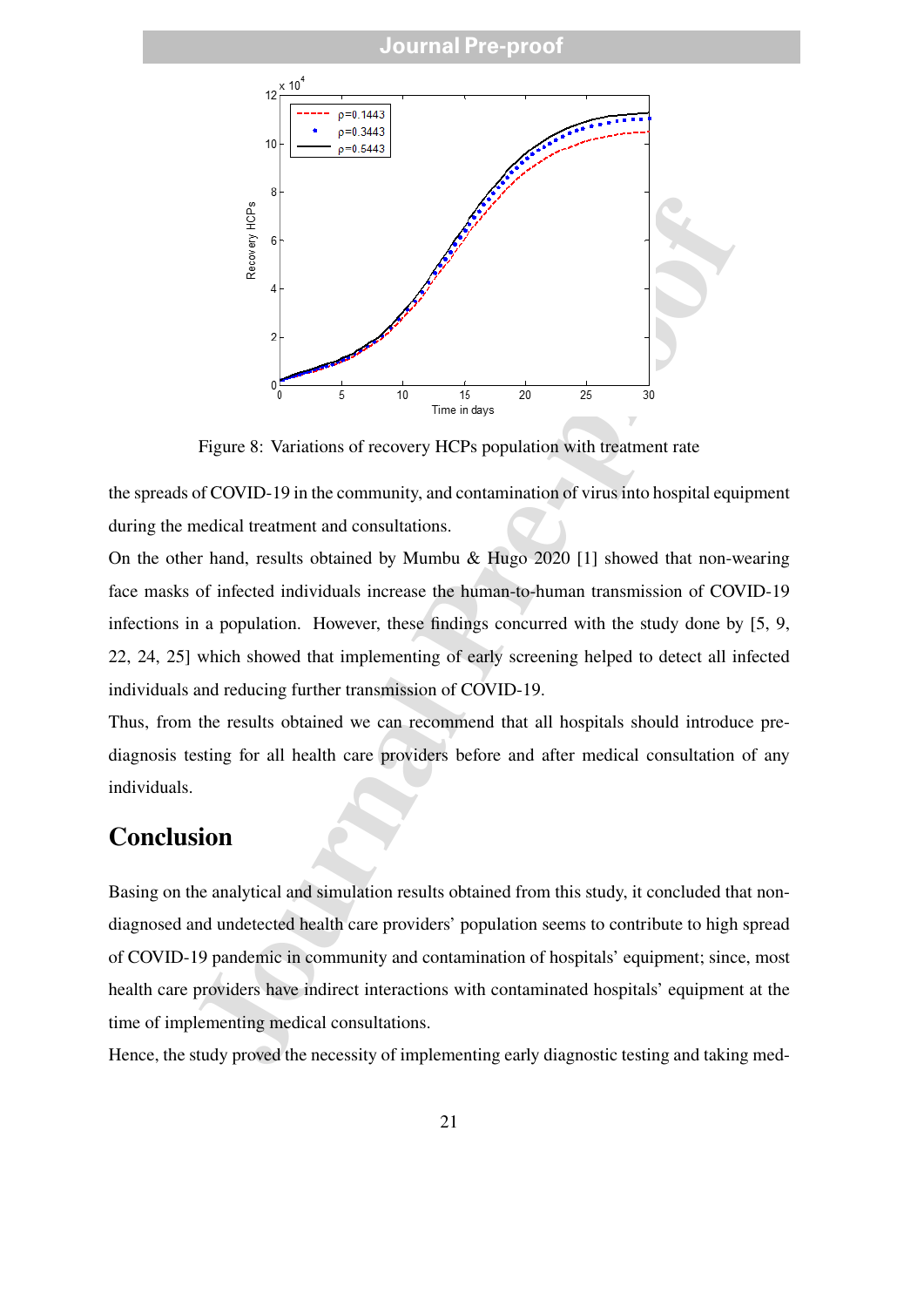

Figure 8: Variations of recovery HCPs population with treatment rate

the spreads of COVID-19 in the community, and contamination of virus into hospital equipment during the medical treatment and consultations.

On the other hand, results obtained by Mumbu & Hugo 2020 [1] showed that non-wearing face masks of infected individuals increase the human-to-human transmission of COVID-19 infections in a population. However, these findings concurred with the study done by [5, 9, 22, 24, 25] which showed that implementing of early screening helped to detect all infected individuals and reducing further transmission of COVID-19.

Thus, from the results obtained we can recommend that all hospitals should introduce prediagnosis testing for all health care providers before and after medical consultation of any individuals.

#### **Conclusion**

Basing on the analytical and simulation results obtained from this study, it concluded that nondiagnosed and undetected health care providers' population seems to contribute to high spread of COVID-19 pandemic in community and contamination of hospitals' equipment; since, most health care providers have indirect interactions with contaminated hospitals' equipment at the time of implementing medical consultations.

Hence, the study proved the necessity of implementing early diagnostic testing and taking med-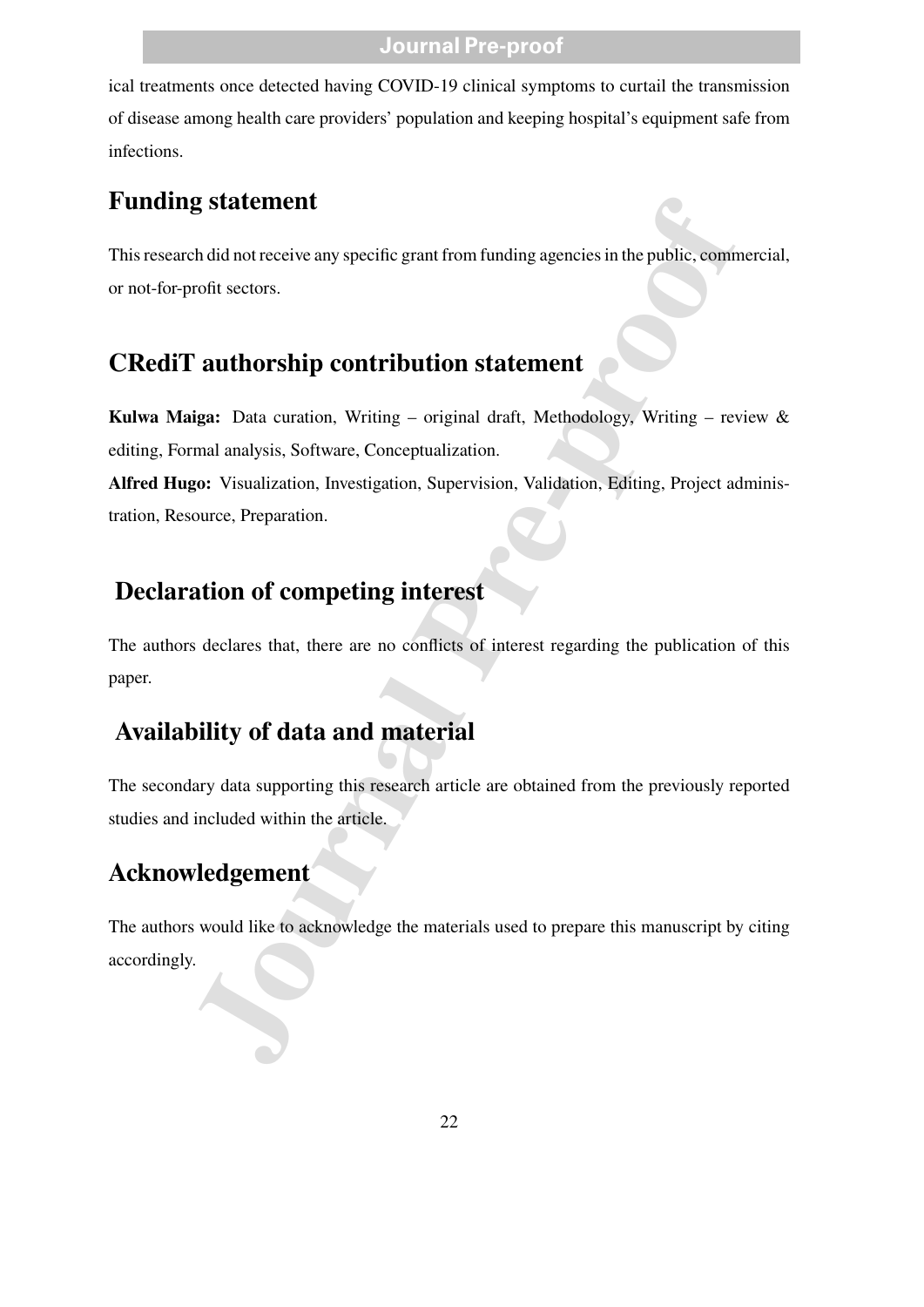ical treatments once detected having COVID-19 clinical symptoms to curtail the transmission of disease among health care providers' population and keeping hospital's equipment safe from infections.

## **Funding statement**

This research did not receive any specific grant from funding agencies in the public, commercial, or not-for-profit sectors.

## **CRediT authorship contribution statement**

**Kulwa Maiga:** Data curation, Writing – original draft, Methodology, Writing – review & editing, Formal analysis, Software, Conceptualization.

**Alfred Hugo:** Visualization, Investigation, Supervision, Validation, Editing, Project administration, Resource, Preparation.

## **Declaration of competing interest**

The authors declares that, there are no conflicts of interest regarding the publication of this paper.

## **Availability of data and material**

The secondary data supporting this research article are obtained from the previously reported studies and included within the article.

## **Acknowledgement**

**Example 18 Statement**<br>
And dinot receive any specific grant from funding agencies in the public, commentively<br>
For a and the public scates.<br> **Constrained And Statement**<br> **Constrained And Statement**<br> **Constrained And State** The authors would like to acknowledge the materials used to prepare this manuscript by citing accordingly.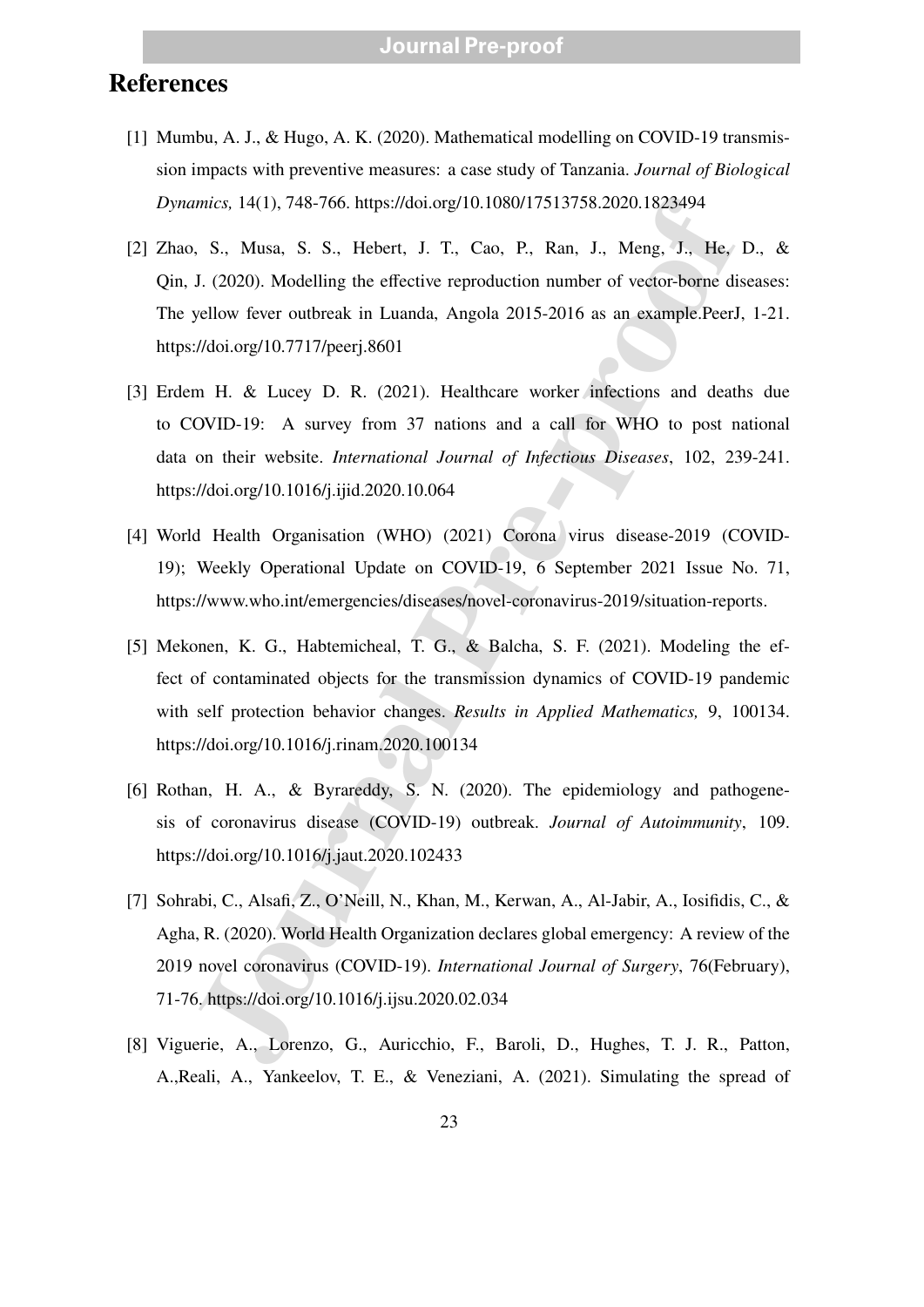### **References**

- [1] Mumbu, A. J., & Hugo, A. K. (2020). Mathematical modelling on COVID-19 transmission impacts with preventive measures: a case study of Tanzania. *Journal of Biological Dynamics,* 14(1), 748-766. https://doi.org/10.1080/17513758.2020.1823494
- [2] Zhao, S., Musa, S. S., Hebert, J. T., Cao, P., Ran, J., Meng, J., He, D., & Qin, J. (2020). Modelling the effective reproduction number of vector-borne diseases: The yellow fever outbreak in Luanda, Angola 2015-2016 as an example.PeerJ, 1-21. https://doi.org/10.7717/peerj.8601
- [3] Erdem H. & Lucey D. R. (2021). Healthcare worker infections and deaths due to COVID-19: A survey from 37 nations and a call for WHO to post national data on their website. *International Journal of Infectious Diseases*, 102, 239-241. https://doi.org/10.1016/j.ijid.2020.10.064
- [4] World Health Organisation (WHO) (2021) Corona virus disease-2019 (COVID-19); Weekly Operational Update on COVID-19, 6 September 2021 Issue No. 71, https://www.who.int/emergencies/diseases/novel-coronavirus-2019/situation-reports.
- mics, 14(1), 748-766. https://doi.org/10.1080/17513758.2020.1823494<br>
1, S., Musa, S. S., Hebert, J. T., Cao, P., Ran, J., Meng, J., He,<br>
J. (2020). Modelling the effective reproduction number of vector-borne di<br>
yellow fe [5] Mekonen, K. G., Habtemicheal, T. G., & Balcha, S. F. (2021). Modeling the effect of contaminated objects for the transmission dynamics of COVID-19 pandemic with self protection behavior changes. *Results in Applied Mathematics,* 9, 100134. https://doi.org/10.1016/j.rinam.2020.100134
- [6] Rothan, H. A., & Byrareddy, S. N. (2020). The epidemiology and pathogenesis of coronavirus disease (COVID-19) outbreak. *Journal of Autoimmunity*, 109. https://doi.org/10.1016/j.jaut.2020.102433
- [7] Sohrabi, C., Alsafi, Z., O'Neill, N., Khan, M., Kerwan, A., Al-Jabir, A., Iosifidis, C., & Agha, R. (2020). World Health Organization declares global emergency: A review of the 2019 novel coronavirus (COVID-19). *International Journal of Surgery*, 76(February), 71-76. https://doi.org/10.1016/j.ijsu.2020.02.034
- [8] Viguerie, A., Lorenzo, G., Auricchio, F., Baroli, D., Hughes, T. J. R., Patton, A.,Reali, A., Yankeelov, T. E., & Veneziani, A. (2021). Simulating the spread of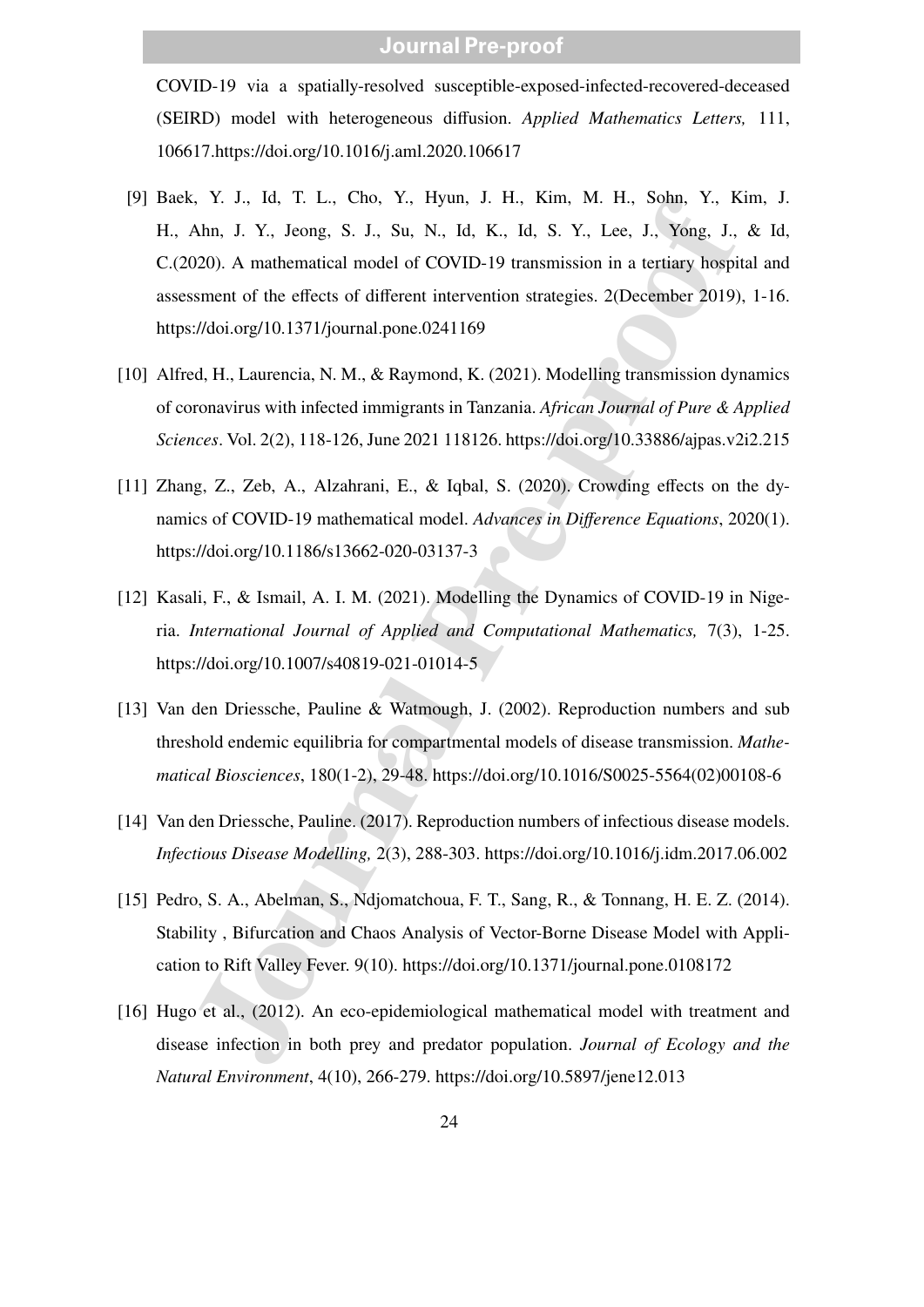COVID-19 via a spatially-resolved susceptible-exposed-infected-recovered-deceased (SEIRD) model with heterogeneous diffusion. *Applied Mathematics Letters,* 111, 106617.https://doi.org/10.1016/j.aml.2020.106617

- 5, Y. J., Id., T. L., Cho, Y., Hyun, J. H., Kim, M. H., Sohn, Y., K.<br>Mhn, J. Y., Jeong, S. J., Su, N., Id, K., Id, S. Y., Lee, J., Yong, J., 2020). A mahematical model of COVID-19 transmission in a tertiary hospitaly<br>1200) [9] Baek, Y. J., Id, T. L., Cho, Y., Hyun, J. H., Kim, M. H., Sohn, Y., Kim, J. H., Ahn, J. Y., Jeong, S. J., Su, N., Id, K., Id, S. Y., Lee, J., Yong, J., & Id, C.(2020). A mathematical model of COVID-19 transmission in a tertiary hospital and assessment of the effects of different intervention strategies. 2(December 2019), 1-16. https://doi.org/10.1371/journal.pone.0241169
- [10] Alfred, H., Laurencia, N. M., & Raymond, K. (2021). Modelling transmission dynamics of coronavirus with infected immigrants in Tanzania. *African Journal of Pure & Applied Sciences*. Vol. 2(2), 118-126, June 2021 118126. https://doi.org/10.33886/ajpas.v2i2.215
- [11] Zhang, Z., Zeb, A., Alzahrani, E., & Iqbal, S. (2020). Crowding effects on the dynamics of COVID-19 mathematical model. *Advances in Difference Equations*, 2020(1). https://doi.org/10.1186/s13662-020-03137-3
- [12] Kasali, F., & Ismail, A. I. M. (2021). Modelling the Dynamics of COVID-19 in Nigeria. *International Journal of Applied and Computational Mathematics,* 7(3), 1-25. https://doi.org/10.1007/s40819-021-01014-5
- [13] Van den Driessche, Pauline & Watmough, J. (2002). Reproduction numbers and sub threshold endemic equilibria for compartmental models of disease transmission. *Mathematical Biosciences*, 180(1-2), 29-48. https://doi.org/10.1016/S0025-5564(02)00108-6
- [14] Van den Driessche, Pauline. (2017). Reproduction numbers of infectious disease models. *Infectious Disease Modelling,* 2(3), 288-303. https://doi.org/10.1016/j.idm.2017.06.002
- [15] Pedro, S. A., Abelman, S., Ndjomatchoua, F. T., Sang, R., & Tonnang, H. E. Z. (2014). Stability , Bifurcation and Chaos Analysis of Vector-Borne Disease Model with Application to Rift Valley Fever. 9(10). https://doi.org/10.1371/journal.pone.0108172
- [16] Hugo et al., (2012). An eco-epidemiological mathematical model with treatment and disease infection in both prey and predator population. *Journal of Ecology and the Natural Environment*, 4(10), 266-279. https://doi.org/10.5897/jene12.013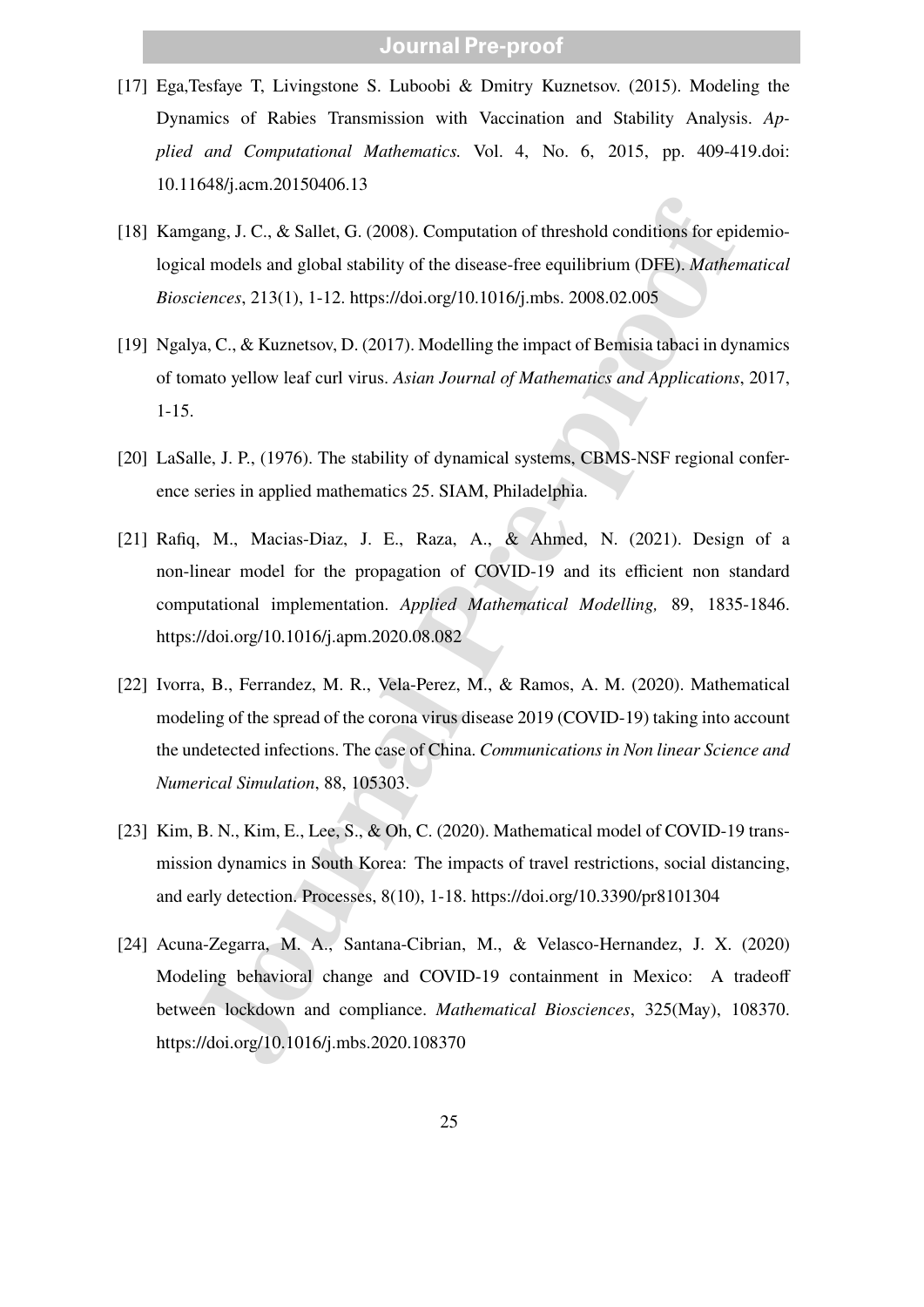- [17] Ega,Tesfaye T, Livingstone S. Luboobi & Dmitry Kuznetsov. (2015). Modeling the Dynamics of Rabies Transmission with Vaccination and Stability Analysis. *Applied and Computational Mathematics.* Vol. 4, No. 6, 2015, pp. 409-419.doi: 10.11648/j.acm.20150406.13
- [18] Kamgang, J. C., & Sallet, G. (2008). Computation of threshold conditions for epidemiological models and global stability of the disease-free equilibrium (DFE). *Mathematical Biosciences*, 213(1), 1-12. https://doi.org/10.1016/j.mbs. 2008.02.005
- [19] Ngalya, C., & Kuznetsov, D. (2017). Modelling the impact of Bemisia tabaci in dynamics of tomato yellow leaf curl virus. *Asian Journal of Mathematics and Applications*, 2017, 1-15.
- [20] LaSalle, J. P., (1976). The stability of dynamical systems, CBMS-NSF regional conference series in applied mathematics 25. SIAM, Philadelphia.
- [21] Rafiq, M., Macias-Diaz, J. E., Raza, A., & Ahmed, N. (2021). Design of a non-linear model for the propagation of COVID-19 and its efficient non standard computational implementation. *Applied Mathematical Modelling,* 89, 1835-1846. https://doi.org/10.1016/j.apm.2020.08.082
- [22] Ivorra, B., Ferrandez, M. R., Vela-Perez, M., & Ramos, A. M. (2020). Mathematical modeling of the spread of the corona virus disease 2019 (COVID-19) taking into account the undetected infections. The case of China. *Communications in Non linear Science and Numerical Simulation*, 88, 105303.
- [23] Kim, B. N., Kim, E., Lee, S., & Oh, C. (2020). Mathematical model of COVID-19 transmission dynamics in South Korea: The impacts of travel restrictions, social distancing, and early detection. Processes, 8(10), 1-18. https://doi.org/10.3390/pr8101304
- gang, J. C., & Sallet, G. (2008). Computation of threshold conditions for epial and and global stability of the disease-free equilibrium (DFB). *Mather*<br>iences, 213(1), 1-12. https://doi.org/10.1016/j.mbs. 2008.02.005<br>ya, [24] Acuna-Zegarra, M. A., Santana-Cibrian, M., & Velasco-Hernandez, J. X. (2020) Modeling behavioral change and COVID-19 containment in Mexico: A tradeoff between lockdown and compliance. *Mathematical Biosciences*, 325(May), 108370. https://doi.org/10.1016/j.mbs.2020.108370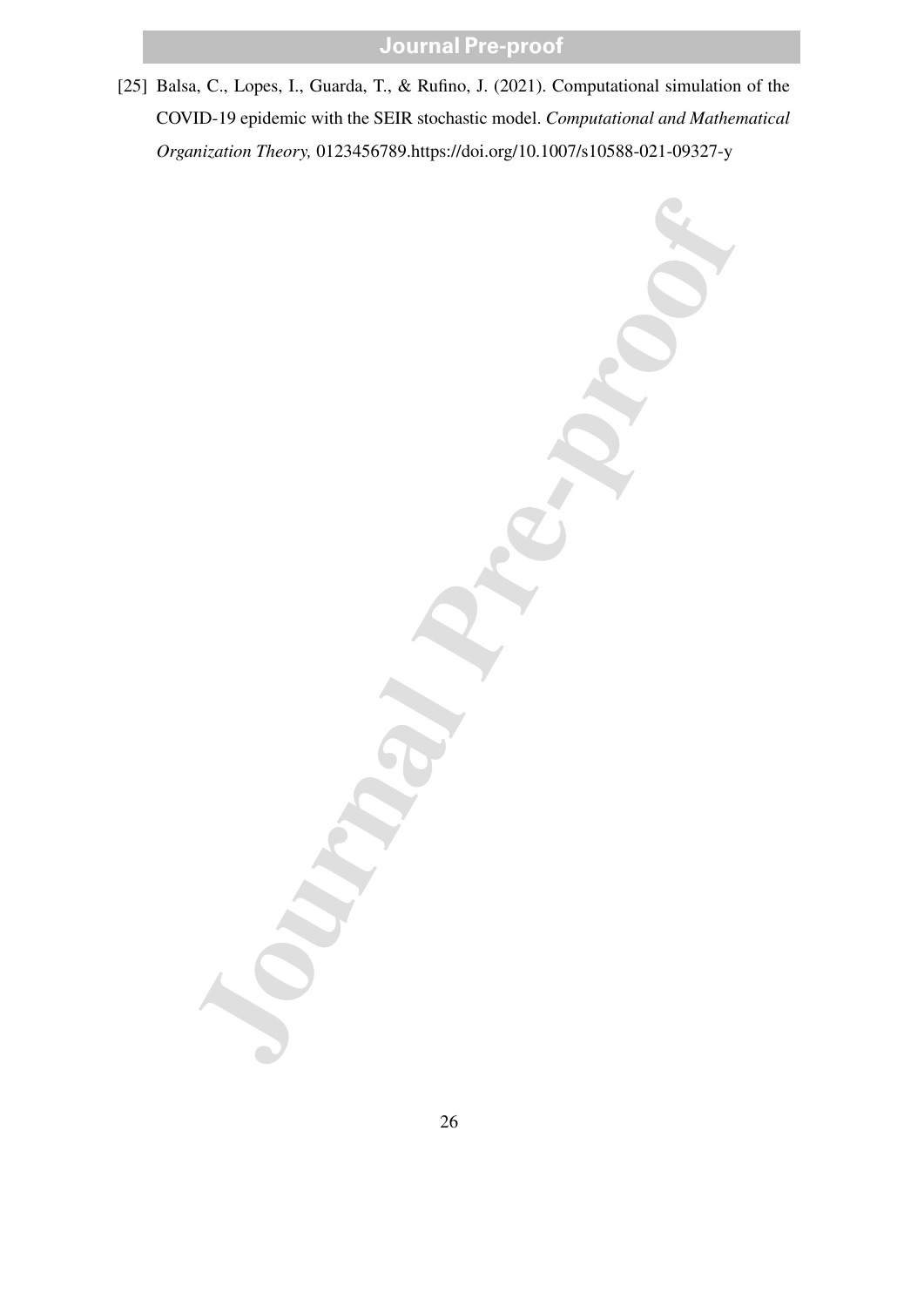[25] Balsa, C., Lopes, I., Guarda, T., & Rufino, J. (2021). Computational simulation of the COVID-19 epidemic with the SEIR stochastic model. *Computational and Mathematical Organization Theory,* 0123456789.https://doi.org/10.1007/s10588-021-09327-y

Journal Partners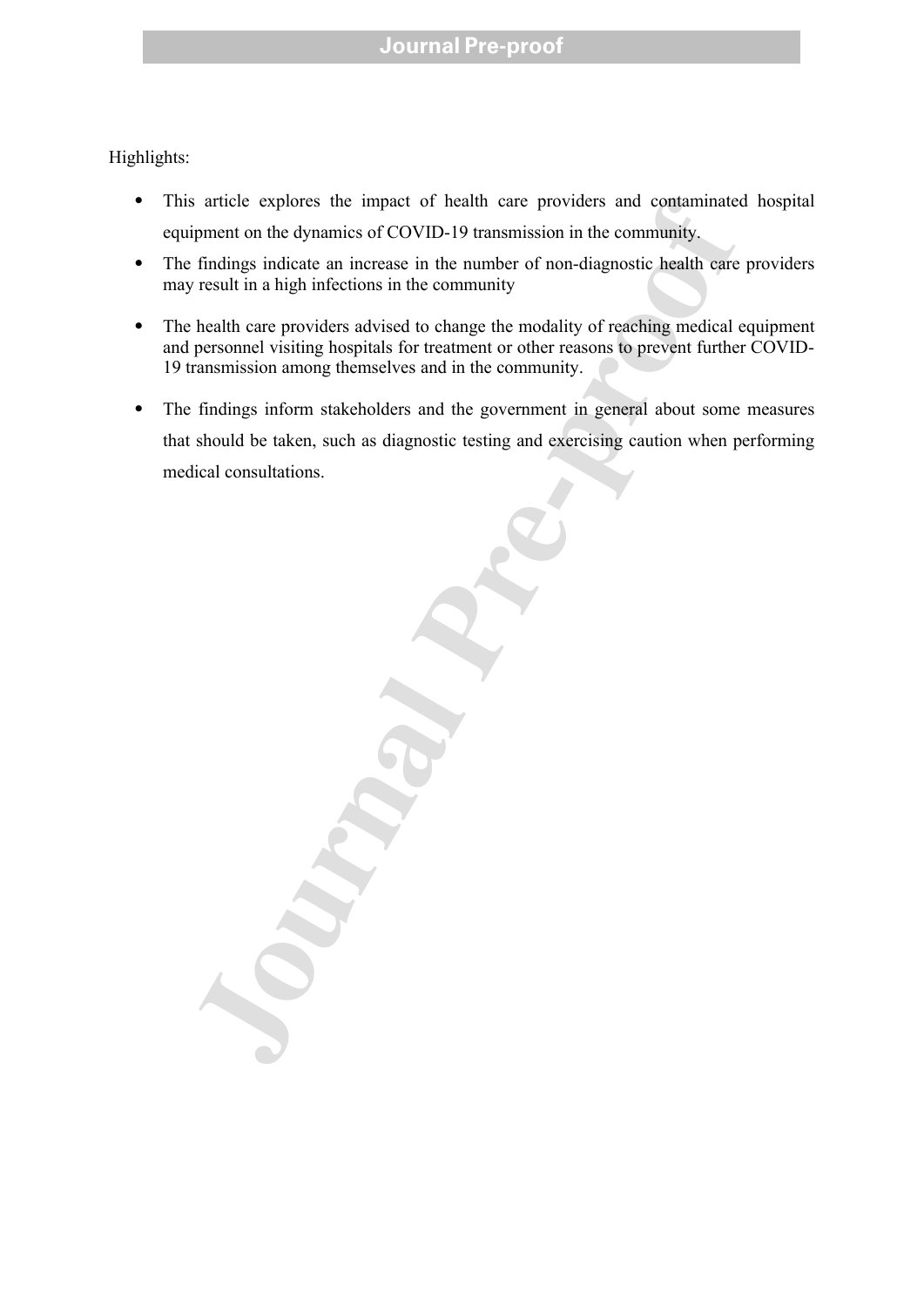Highlights:

- This article explores the impact of health care providers and contaminated hospital equipment on the dynamics of COVID-19 transmission in the community.
- The findings indicate an increase in the number of non-diagnostic health care providers may result in a high infections in the community
- The health care providers advised to change the modality of reaching medical equipment and personnel visiting hospitals for treatment or other reasons to prevent further COVID-19 transmission among themselves and in the community.
- The findings inform stakeholders and the government in general about some measures that should be taken, such as diagnostic testing and exercising caution when performing medical consultations.

s article explores the impact of health care providers and contaminate<br>ipment on the dynamics of COVID-19 transmission in the community.<br>
findings indicate an increase in the number of non-diagnostic health care<br>result in